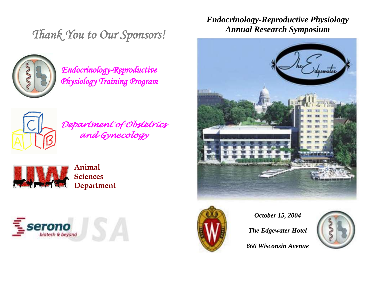*Thank You to Our Sponsors!* 



*Endocrinology-Reproductive Physiology Training Program* 



*Department of Obstetrics and Gynecology* 



**Animal Sciences Department**



*Endocrinology-Reproductive Physiology Annual Research Symposium*





*October 15, 2004*

*The Edgewater Hotel*

*666 Wisconsin Avenue*

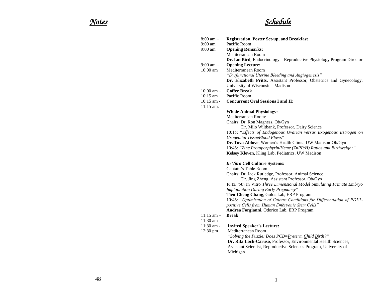## *Notes Schedule*

| $9:00 \text{ am}$<br><b>Opening Remarks:</b><br>Mediterranean Room<br>Dr. Ian Bird, Endocrinology - Reproductive Physiology Program Director<br><b>Opening Lecture:</b><br>$9:00 \text{ am} -$<br>Mediterranean Room<br>$10:00$ am<br>"Dysfunctional Uterine Bleeding and Angiogenesis"<br>Dr. Elizabeth Pritts, Assistant Professor, Obstetrics and Gynecology,<br>University of Wisconsin - Madison<br><b>Coffee Break</b><br>$10:00 \text{ am} -$<br>$10:15$ am<br>Pacific Room<br>$10:15$ am -<br><b>Concurrent Oral Sessions I and II:</b><br>$11:15$ am.<br><b>Whole Animal Physiology:</b><br>Mediterranean Room:<br>Chairs: Dr. Ron Magness, Ob/Gyn<br>Dr. Milo Wiltbank, Professor, Dairy Science<br>10:15: "Effects of Endogenous Ovarian versus Exogenous Estrogen on<br><b>Urogenital TissueBlood Flows"</b><br>Dr. Tova Ablove, Women's Health Clinic, UW Madison-Ob/Gyn<br>10:45: "Zinc Protoporphyrin/Heme (ZnPP/H) Ratios and Birthweight"<br>Kelsey Kleven, Kling Lab, Pediatrics, UW Madison<br>In Vitro Cell Culture Systems:<br>Captain's Table Room<br>Chairs: Dr. Jack Rutledge, Professor, Animal Science<br>Dr. Jing Zheng, Assistant Professor, Ob/Gyn<br>10:15: "An In Vitro Three Dimensional Model Simulating Primate Embryo<br><b>Implantation During Early Pregnancy"</b><br>Tien-Cheng Chang, Golos Lab, ERP Program<br>10:45: "Optimization of Culture Conditions for Differentiation of PDX1-<br>positive Cells from Human Embryonic Stem Cells"<br>Andrea Forgianni, Odorico Lab, ERP Program<br>$11:15$ am $-$<br><b>Break</b><br>$11:30$ am<br>$11:30$ am -<br><b>Invited Speaker's Lecture:</b><br>Mediterranean Room<br>12:30 pm<br>"Solving the Puzzle: Does PCB=Preterm Child Birth?"<br>Dr. Rita Loch-Caruso, Professor, Environmental Health Sciences,<br>Assistant Scientist, Reproductive Sciences Program, University of<br>Michigan | $8:00 \text{ am} -$<br>$9:00 \text{ am}$ | <b>Registration, Poster Set-up, and Breakfast</b><br>Pacific Room |
|-----------------------------------------------------------------------------------------------------------------------------------------------------------------------------------------------------------------------------------------------------------------------------------------------------------------------------------------------------------------------------------------------------------------------------------------------------------------------------------------------------------------------------------------------------------------------------------------------------------------------------------------------------------------------------------------------------------------------------------------------------------------------------------------------------------------------------------------------------------------------------------------------------------------------------------------------------------------------------------------------------------------------------------------------------------------------------------------------------------------------------------------------------------------------------------------------------------------------------------------------------------------------------------------------------------------------------------------------------------------------------------------------------------------------------------------------------------------------------------------------------------------------------------------------------------------------------------------------------------------------------------------------------------------------------------------------------------------------------------------------------------------------------------------------------------------------------------------------------------------------------------|------------------------------------------|-------------------------------------------------------------------|
|                                                                                                                                                                                                                                                                                                                                                                                                                                                                                                                                                                                                                                                                                                                                                                                                                                                                                                                                                                                                                                                                                                                                                                                                                                                                                                                                                                                                                                                                                                                                                                                                                                                                                                                                                                                                                                                                                   |                                          |                                                                   |
|                                                                                                                                                                                                                                                                                                                                                                                                                                                                                                                                                                                                                                                                                                                                                                                                                                                                                                                                                                                                                                                                                                                                                                                                                                                                                                                                                                                                                                                                                                                                                                                                                                                                                                                                                                                                                                                                                   |                                          |                                                                   |
|                                                                                                                                                                                                                                                                                                                                                                                                                                                                                                                                                                                                                                                                                                                                                                                                                                                                                                                                                                                                                                                                                                                                                                                                                                                                                                                                                                                                                                                                                                                                                                                                                                                                                                                                                                                                                                                                                   |                                          |                                                                   |
|                                                                                                                                                                                                                                                                                                                                                                                                                                                                                                                                                                                                                                                                                                                                                                                                                                                                                                                                                                                                                                                                                                                                                                                                                                                                                                                                                                                                                                                                                                                                                                                                                                                                                                                                                                                                                                                                                   |                                          |                                                                   |
|                                                                                                                                                                                                                                                                                                                                                                                                                                                                                                                                                                                                                                                                                                                                                                                                                                                                                                                                                                                                                                                                                                                                                                                                                                                                                                                                                                                                                                                                                                                                                                                                                                                                                                                                                                                                                                                                                   |                                          |                                                                   |
|                                                                                                                                                                                                                                                                                                                                                                                                                                                                                                                                                                                                                                                                                                                                                                                                                                                                                                                                                                                                                                                                                                                                                                                                                                                                                                                                                                                                                                                                                                                                                                                                                                                                                                                                                                                                                                                                                   |                                          |                                                                   |
|                                                                                                                                                                                                                                                                                                                                                                                                                                                                                                                                                                                                                                                                                                                                                                                                                                                                                                                                                                                                                                                                                                                                                                                                                                                                                                                                                                                                                                                                                                                                                                                                                                                                                                                                                                                                                                                                                   |                                          |                                                                   |
|                                                                                                                                                                                                                                                                                                                                                                                                                                                                                                                                                                                                                                                                                                                                                                                                                                                                                                                                                                                                                                                                                                                                                                                                                                                                                                                                                                                                                                                                                                                                                                                                                                                                                                                                                                                                                                                                                   |                                          |                                                                   |
|                                                                                                                                                                                                                                                                                                                                                                                                                                                                                                                                                                                                                                                                                                                                                                                                                                                                                                                                                                                                                                                                                                                                                                                                                                                                                                                                                                                                                                                                                                                                                                                                                                                                                                                                                                                                                                                                                   |                                          |                                                                   |
|                                                                                                                                                                                                                                                                                                                                                                                                                                                                                                                                                                                                                                                                                                                                                                                                                                                                                                                                                                                                                                                                                                                                                                                                                                                                                                                                                                                                                                                                                                                                                                                                                                                                                                                                                                                                                                                                                   |                                          |                                                                   |
|                                                                                                                                                                                                                                                                                                                                                                                                                                                                                                                                                                                                                                                                                                                                                                                                                                                                                                                                                                                                                                                                                                                                                                                                                                                                                                                                                                                                                                                                                                                                                                                                                                                                                                                                                                                                                                                                                   |                                          |                                                                   |
|                                                                                                                                                                                                                                                                                                                                                                                                                                                                                                                                                                                                                                                                                                                                                                                                                                                                                                                                                                                                                                                                                                                                                                                                                                                                                                                                                                                                                                                                                                                                                                                                                                                                                                                                                                                                                                                                                   |                                          |                                                                   |
|                                                                                                                                                                                                                                                                                                                                                                                                                                                                                                                                                                                                                                                                                                                                                                                                                                                                                                                                                                                                                                                                                                                                                                                                                                                                                                                                                                                                                                                                                                                                                                                                                                                                                                                                                                                                                                                                                   |                                          |                                                                   |
|                                                                                                                                                                                                                                                                                                                                                                                                                                                                                                                                                                                                                                                                                                                                                                                                                                                                                                                                                                                                                                                                                                                                                                                                                                                                                                                                                                                                                                                                                                                                                                                                                                                                                                                                                                                                                                                                                   |                                          |                                                                   |
|                                                                                                                                                                                                                                                                                                                                                                                                                                                                                                                                                                                                                                                                                                                                                                                                                                                                                                                                                                                                                                                                                                                                                                                                                                                                                                                                                                                                                                                                                                                                                                                                                                                                                                                                                                                                                                                                                   |                                          |                                                                   |
|                                                                                                                                                                                                                                                                                                                                                                                                                                                                                                                                                                                                                                                                                                                                                                                                                                                                                                                                                                                                                                                                                                                                                                                                                                                                                                                                                                                                                                                                                                                                                                                                                                                                                                                                                                                                                                                                                   |                                          |                                                                   |
|                                                                                                                                                                                                                                                                                                                                                                                                                                                                                                                                                                                                                                                                                                                                                                                                                                                                                                                                                                                                                                                                                                                                                                                                                                                                                                                                                                                                                                                                                                                                                                                                                                                                                                                                                                                                                                                                                   |                                          |                                                                   |
|                                                                                                                                                                                                                                                                                                                                                                                                                                                                                                                                                                                                                                                                                                                                                                                                                                                                                                                                                                                                                                                                                                                                                                                                                                                                                                                                                                                                                                                                                                                                                                                                                                                                                                                                                                                                                                                                                   |                                          |                                                                   |
|                                                                                                                                                                                                                                                                                                                                                                                                                                                                                                                                                                                                                                                                                                                                                                                                                                                                                                                                                                                                                                                                                                                                                                                                                                                                                                                                                                                                                                                                                                                                                                                                                                                                                                                                                                                                                                                                                   |                                          |                                                                   |
|                                                                                                                                                                                                                                                                                                                                                                                                                                                                                                                                                                                                                                                                                                                                                                                                                                                                                                                                                                                                                                                                                                                                                                                                                                                                                                                                                                                                                                                                                                                                                                                                                                                                                                                                                                                                                                                                                   |                                          |                                                                   |
|                                                                                                                                                                                                                                                                                                                                                                                                                                                                                                                                                                                                                                                                                                                                                                                                                                                                                                                                                                                                                                                                                                                                                                                                                                                                                                                                                                                                                                                                                                                                                                                                                                                                                                                                                                                                                                                                                   |                                          |                                                                   |
|                                                                                                                                                                                                                                                                                                                                                                                                                                                                                                                                                                                                                                                                                                                                                                                                                                                                                                                                                                                                                                                                                                                                                                                                                                                                                                                                                                                                                                                                                                                                                                                                                                                                                                                                                                                                                                                                                   |                                          |                                                                   |
|                                                                                                                                                                                                                                                                                                                                                                                                                                                                                                                                                                                                                                                                                                                                                                                                                                                                                                                                                                                                                                                                                                                                                                                                                                                                                                                                                                                                                                                                                                                                                                                                                                                                                                                                                                                                                                                                                   |                                          |                                                                   |
|                                                                                                                                                                                                                                                                                                                                                                                                                                                                                                                                                                                                                                                                                                                                                                                                                                                                                                                                                                                                                                                                                                                                                                                                                                                                                                                                                                                                                                                                                                                                                                                                                                                                                                                                                                                                                                                                                   |                                          |                                                                   |
|                                                                                                                                                                                                                                                                                                                                                                                                                                                                                                                                                                                                                                                                                                                                                                                                                                                                                                                                                                                                                                                                                                                                                                                                                                                                                                                                                                                                                                                                                                                                                                                                                                                                                                                                                                                                                                                                                   |                                          |                                                                   |
|                                                                                                                                                                                                                                                                                                                                                                                                                                                                                                                                                                                                                                                                                                                                                                                                                                                                                                                                                                                                                                                                                                                                                                                                                                                                                                                                                                                                                                                                                                                                                                                                                                                                                                                                                                                                                                                                                   |                                          |                                                                   |
|                                                                                                                                                                                                                                                                                                                                                                                                                                                                                                                                                                                                                                                                                                                                                                                                                                                                                                                                                                                                                                                                                                                                                                                                                                                                                                                                                                                                                                                                                                                                                                                                                                                                                                                                                                                                                                                                                   |                                          |                                                                   |
|                                                                                                                                                                                                                                                                                                                                                                                                                                                                                                                                                                                                                                                                                                                                                                                                                                                                                                                                                                                                                                                                                                                                                                                                                                                                                                                                                                                                                                                                                                                                                                                                                                                                                                                                                                                                                                                                                   |                                          |                                                                   |
|                                                                                                                                                                                                                                                                                                                                                                                                                                                                                                                                                                                                                                                                                                                                                                                                                                                                                                                                                                                                                                                                                                                                                                                                                                                                                                                                                                                                                                                                                                                                                                                                                                                                                                                                                                                                                                                                                   |                                          |                                                                   |
|                                                                                                                                                                                                                                                                                                                                                                                                                                                                                                                                                                                                                                                                                                                                                                                                                                                                                                                                                                                                                                                                                                                                                                                                                                                                                                                                                                                                                                                                                                                                                                                                                                                                                                                                                                                                                                                                                   |                                          |                                                                   |
|                                                                                                                                                                                                                                                                                                                                                                                                                                                                                                                                                                                                                                                                                                                                                                                                                                                                                                                                                                                                                                                                                                                                                                                                                                                                                                                                                                                                                                                                                                                                                                                                                                                                                                                                                                                                                                                                                   |                                          |                                                                   |
|                                                                                                                                                                                                                                                                                                                                                                                                                                                                                                                                                                                                                                                                                                                                                                                                                                                                                                                                                                                                                                                                                                                                                                                                                                                                                                                                                                                                                                                                                                                                                                                                                                                                                                                                                                                                                                                                                   |                                          |                                                                   |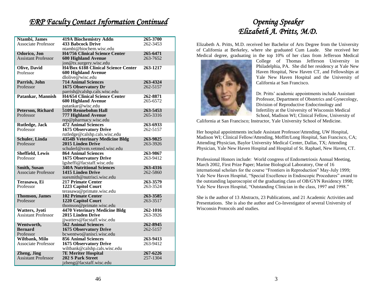### *ERP Faculty Contact Information Continued*

| Ntambi, James              | <b>419A Biochemistry Addn</b>         | 265-3700 |
|----------------------------|---------------------------------------|----------|
| Associate Professor        | <b>433 Babcock Drive</b>              | 262-3453 |
|                            | ntambi@biochem.wisc.edu               |          |
| Odorico, Jon               | <b>H4/756 Clinical Science Center</b> | 265-6471 |
| <b>Assistant Professor</b> | <b>600 Highland Avenue</b>            | 263-7652 |
|                            | jon@tx.surgery.wisc.edu               |          |
| <b>Olive, David</b>        | H4/Box 6188 Clinical Science Center   | 263-1217 |
| Professor                  | <b>600 Highland Avenue</b>            |          |
|                            | dlolive@wisc.edu                      |          |
| Parrish, John              | <b>714 Animal Sciences</b>            | 263-4324 |
| Professor                  | 1675 Observatory Dr                   | 262-5157 |
|                            | parrish@calshp.cals.wisc.edu          |          |
| Patankar, Mannish          | <b>H4/654 Clinical Science Center</b> | 262-8871 |
|                            | <b>600 Highland Avenue</b>            | 265-6572 |
|                            | patankar@wisc.edu                     |          |
| Peterson, Richard          | 5109 Rennebohm Hall                   | 263-5453 |
| Professor                  | <b>777 Highland Avenue</b>            | 265-3316 |
|                            | rep@pharmacy.wisc.edu                 |          |
| Rutledge, Jack             | <b>472 Animal Sciences</b>            | 263-6933 |
| Professor                  | <b>1675 Observatory Drive</b>         | 262-5157 |
|                            | rutledge@calshp.cals.wisc.edu         |          |
| Schuler, Linda             | <b>4354B Veterinary Medicine Bldg</b> | 263-9825 |
| Professor                  | 2015 Linden Drive                     | 263-3926 |
|                            | schulerl@svm.vetmed.wisc.edu          |          |
| <b>Sheffield, Lewis</b>    | <b>864 Animal Sciences</b>            | 263-9867 |
| Professor                  | <b>1675 Observatory Drive</b>         | 263-9412 |
|                            | lgsheffi@facstaff.wisc.edu            |          |
| <b>Smith, Susan</b>        | <b>340A Nutritional Sciences</b>      | 263-4316 |
| Associate Professor        | 1415 Linden Drive                     | 262-5860 |
|                            | suesmith@nutrisci.wisc.edu            |          |
| Terasawa, Ei               | <b>217 Primate Center</b>             | 263-3579 |
| Professor                  | 1223 Capitol Court                    | 263-3524 |
|                            | terasawa@primate.wisc.edu             |          |
| <b>Thomson</b> , James     | <b>102 Primate Center</b>             | 263-3585 |
| Professor                  | 1220 Capitol Court                    | 263-3517 |
|                            | thomson@primate.wisc.edu              |          |
| <b>Watters</b> , Jyoti     | <b>4470 Veterinary Medicine Bldg</b>  | 262-1016 |
| <b>Assistant Professor</b> | 2015 Linden Drive                     | 263-3926 |
|                            | jjwatters@facstaff.wisc.edu           |          |
| Wentworth,                 | <b>562 Animal Sciences</b>            | 262-8945 |
| <b>Bernard</b>             | <b>1675 Observatory Drive</b>         | 262-5157 |
| Professor                  | bcwentwo@anisci.wisc.edu              |          |
| Wiltbank, Milo             | <b>856 Animal Sciences</b>            | 263-9413 |
| <b>Associate Professor</b> | <b>1675 Observatory Drive</b>         | 263-9412 |
|                            | wiltbank@calshp.cals.wisc.edu         |          |
| Zheng, Jing                | <b>7E Meriter Hospital</b>            | 267-6226 |
| <b>Assistant Professor</b> | 202 S Park Street                     | 257-1304 |
|                            | jzheng@facstaff.wisc.edu              |          |

### *Opening Speaker Elizabeth A. Pritts, M.D.*

Elizabeth A. Pritts, M.D. received her Bachelor of Arts Degree from the University of California at Berkeley, where she graduated Cum Laude. She received her Medical degree, graduating in the top 10% of her class from Jefferson Medical



College of Thomas Jefferson University in Philadelphia, PA. She did her residency at Yale New Haven Hospital, New Haven CT, and Fellowships at Yale New Haven Hospital and the University of California at San Francisco.

Dr. Pritts' academic appointments include Assistant Professor, Department of Obstetrics and Gynecology, Division of Reproductive Endocrinology and Infertility at the University of Wisconsin Medical School, Madison WI; Clinical Fellow, University of

California at San Francisco; Instructor, Yale University School of Medicine.

Her hospital appointments include Assistant Professor/Attending, UW Hospital, Madison WI; Clinical Fellow/Attending, Moffitt/Long Hospital, San Francisco, CA; Attending Physician, Baylor University Medical Center, Dallas, TX; Attending Physician, Yale New Haven Hospital and Hospital of St. Raphael, New Haven, CT.

Professional Honors include: World congress of Endometriosis Annual Meeting, March 2002, First Prize Paper; Marine Biological Laboratory, One of 16 international scholars for the course "Frontiers in Reproduction" May-July 1999; Yale New Haven Hospital, "Special Excellence in Endoscopic Procedures" award to the outstanding laparoscopist of the graduating class of OB/GYN Residency 1998; Yale New Haven Hospital, "Outstanding Clinician in the class, 1997 and 1998."

She is the author of 13 Abstracts, 23 Publications, and 21 Academic Activities and Presentations. She is also the author and Co-Investigator of several University of Wisconsin Protocols and studies.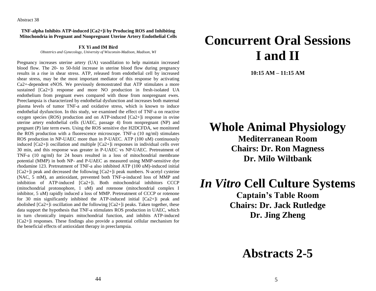**TNF-alpha Inhibits ATP-induced [Ca2+]i by Producing ROS and Inhibiting Mitochondria in Pregnant and Nonpregnant Uterine Artery Endothelial Cells**

**FX Yi and IM Bird**

*Obstetrics and Gynecology, University of Wisconsin-Madison, Madison, WI*

Pregnancy increases uterine artery (UA) vasodilation to help maintain increased blood flow. The 20- to 50-fold increase in uterine blood flow during pregnancy results in a rise in shear stress. ATP, released from endothelial cell by increased shear stress, may be the most important mediator of this response by activating Ca2+-dependent eNOS. We previously demonstrated that ATP stimulates a more sustained [Ca2+] response and more NO production in fresh-isolated UA endothelium from pregnant ewes compared with those from nonpregnant ewes. Preeclampsia is characterized by endothelial dysfunction and increases both maternal plasma levels of tumor TNF-a and oxidative stress, which is known to induce endothelial dysfunction. In this study, we examined the effect of TNF-a on reactive oxygen species (ROS) production and on ATP-induced [Ca2+]i response in ovine uterine artery endothelial cells (UAEC, passage 4) from nonpregnant (NP) and pregnant (P) late term ewes. Using the ROS sensitive dye H2DCFDA, we monitored the ROS production with a fluorescence microscope. TNF-a (10 ng/ml) stimulates ROS production in NP-UAEC more than in P-UAEC. ATP (100 uM) continuously induced [Ca2+]i oscillation and multiple [Ca2+]i responses in individual cells over 30 min, and this response was greater in P-UAEC vs NP-UAEC. Pretreatment of TNF-a (10 ng/ml) for 24 hours resulted in a loss of mitochondrial membrane potential (MMP) in both NP- and P-UAEC as measured using MMP-sensitive dye rhodamine 123. Pretreatment of TNF-a also inhibited ATP (100 uM)-induced initial [Ca2+]i peak and decreased the following [Ca2+]i peak numbers. N-acetyl cysteine (NAC, 5 mM), an antioxidant, prevented both TNF-a-induced loss of MMP and inhibition of ATP-induced [Ca2+]i. Both mitochondrial inhibitors CCCP (mitochondrial protonophore, 1 uM) and rotenone (mitochondrial complex I inhibitor, 5 uM) rapidly induced a loss of MMP. Pretreatment of CCCP or rotenone for 30 min significantly inhibited the ATP-induced initial  $[Ca2+]$  peak and abolished [Ca2+]i oscillation and the following [Ca2+]i peaks. Taken together, these data support the hypothesis that TNF-a stimulates ROS production in UAEC, which in turn chronically impairs mitochondrial function, and inhibits ATP-induced [Ca2+]i responses. These findings also provide a potential cellular mechanism for the beneficial effects of antioxidant therapy in preeclampsia.

## **Concurrent Oral Sessions I and II**

**10:15 AM – 11:15 AM**

## **Whole Animal Physiology**

**Mediterranean Room Chairs: Dr. Ron Magness Dr. Milo Wiltbank**

## *In Vitro* **Cell Culture Systems**

**Captain's Table Room Chairs: Dr. Jack Rutledge Dr. Jing Zheng**

## **Abstracts 2-5**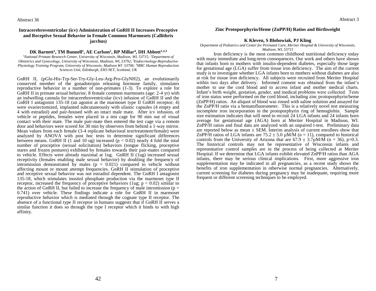#### **Intracerebroventricular (icv) Administration of GnRH II Increases Proceptive and Receptive Sexual Behavior in Female Common Marmosets (Callithrix jacchus)**

#### **DK Barnett<sup>1</sup> , TM Bunnell<sup>1</sup> , AE Carlson<sup>1</sup> , RP Millar<sup>4</sup> , DH Abbott1,2,3**

*<sup>1</sup>National Primate Research Center, University of Wisconsin, Madison, WI, 53715; <sup>2</sup>Department of Obstetrics and Gynecology, University of Wisconsin, Madison, WI, 53792; <sup>3</sup>Endocrinology-Reproductive Physiology Training Program, University of Wisconsin, Madison WI 53706; <sup>4</sup>MRC Human Reproduction Sciences Unit, Edinburgh, EH3 9ET, Scotland, UK*

GnRH II, (pGlu-His-Trp-Ser-Try-Gly-Leu-Arg-Pro-GlyNH2), an evolutionarily conserved member of the gonadotropin releasing hormone family, stimulates reproductive behavior in a number of non-primates (1-3). To explore a role for GnRH II in primate sexual behavior, 8 female common marmosets (age: 2-4 yr) with an indwelling cannula for intracerebroventricular (icv) infusion of GnRH II and the GnRH I antagonist 135-18 (an agonist at the marmoset type II GnRH receptor; 4) were ovariectomized, implanted subcutaneously with silastic capsules (4 empty and 4 with estradiol) and pair-housed with an intact male mate. After icv infusion, of vehicle or peptides, females were placed in a test cage for 90 min out of visual contact with their mate. The male pair-mate then entered the test cage via a remote door and behaviors were scored for 30 min by observers from behind a 1-way mirror. Mean values from each female (3-4 replicate behavioral test/treatment/female) were analyzed by ANOVA with post hoc tests to determine significant differences between means. GnRH II (1 and 10 ug) increased ( $p < 0.02$ ) nearly 4 fold the total number of proceptive (sexual solicitation) behaviors (tongue flicking, proceptive stares and frozen postures) exhibited by females towards their pair-mates compared to vehicle. Effects were already maximal at 1ug. GnRH II (1ug) increased sexual receptivity (females enabling male sexual behavior) by doubling the frequency of intromission demonstrated by males  $(p = 0.021)$  compared to vehicle without affecting mount or mount attempt frequencies. GnRH II stimulation of proceptive and receptive sexual behavior was not estradiol dependent. The GnRH I antagonist 135-18, which stimulates inositol phosphate production via the marmoset type II receptor, increased the frequency of proceptive behaviors (1ug;  $p < 0.02$ ) similar to the action of GnRH II, but failed to increase the frequency of male intromission ( $p =$ 0.741) over vehicle. These findings indicate a role for GnRH II in marmoset reproductive behavior which is mediated through the cognate type II receptor. The absence of a functional type II receptor in humans suggests that if GnRH II serves a similar function it does so through the type I receptor which it binds to with high affinity.

#### **Zinc Protoporphyrin/Heme (ZnPP/H) Ratios and Birthweight**

#### **K Kleven, S Blohowiak, PJ Kling**

*Department of Pediatrics and Center for Perinatal Care, Meriter Hospital & University of Wisconsin, Madison, WI, 53715*

Iron deficiency is the most common childhood nutritional deficiency today with many immediate and long-term consequences. Our work and others have shown that infants born to mothers with insulin-dependent diabetes, especially those large for gestational age (LGA) suffer from tissue iron deficiency. The aim of the current study is to investigate whether LGA infants born to mothers without diabetes are also at risk for tissue iron deficiency. All subjects were recruited from Meriter Hospital within two days after delivery. Informed consent was obtained from the infant's mother to use the cord blood and to access infant and mother medical charts. Infant's birth weight, gestation, gender, and medical problems were collected. Tests of iron status were performed on the cord blood, including zinc protoporphyrin/heme (ZnPP/H) ratios. An aliquot of blood was rinsed with saline solution and assayed for the ZnPP/H ratio via a hematofluorometer. This is a relatively novel test measuring incomplete iron incorporation in the protoporphyrin ring of hemoglobin. Sample size estimation indicates that will need to recruit 24 LGA infants and 24 infants born average for gestational age (AGA) born at Meriter Hospital in Madison, WI. ZnPP/H ratios and final data are analyzed with an unpaired t-test. Preliminary data are reported below as mean  $\pm$  SEM. Interim analysis of current enrollees show that ZnPP/H ratios of LGA infants are  $75.2 \pm 5.0 \mu M/M$  (n = 11), compared to historical controls from the University of Arizona that are  $67.9 \pm 3.7 \mu M/\overline{M}$  (n = 36), p=0.3. The historical controls may not be representative of Wisconsin infants and representative control samples are in the process of being collected at Meriter Hospital. If we determine that LGA infants exhibit elevated ZnPP/H ratios than AGA infants, there may be serious clinical implications. First, more aggressive iron supplementation may be indicated in all pregnancies, as a recent study shows the benefits of iron supplementation in otherwise normal pregnancies. Alternatively, current screening for diabetes during pregnancy may be inadequate, requiring more frequent or different screening techniques to be employed.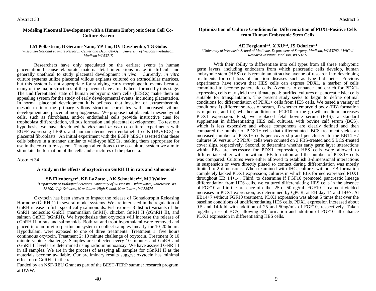#### **Modeling Placental Development with a Human Embryonic Stem Cell Co-Culture System**

#### **LM Pollastrini, B Gerami-Naini, YP Liu, OV Dovzhenko, TG Golos**

*Wisconsin National Primate Research Center and Dept. Ob/Gyn, University of Wisconsin-Madison, Madison WI 53715*

Researchers have only speculated on the earliest events in human placentation because elaborate maternal-fetal interactions make it difficult and generally unethical to study placental development *in vivo*. Currently, *in vitro* culture systems utilize placental villous explants cultured on extracellular matrices, but this system is not appropriate for studying early morphogenic events because many of the major structures of the placenta have already been formed by this stage. The undifferentiated state of human embryonic stem cells (hESCs) make them an appealing system for the study of early developmental events, including placentation. In normal placental development it is believed that invasion of extraembryonic mesoderm into the primary villous structure correlates with increased villous development and placental morphogenesis. We propose that placental mesenchymal cells, such as fibroblasts, and/or endothelial cells provide instructive cues for trophoblast differentiation, villous formation and placental development. To test our hypothesis, we have developed *in vitro* and *in vivo* co-culture experiments with EGFP expressing hESCs and human uterine vein endothelial cells (HUVECs) or placental fibroblasts. An initial experiment with the EGFP hESCs asserted that these cells behave in a manner similar to wild-type hESCs, making them appropriate for use in the co-culture system. Through alterations to the co-culture system we aim to stimulate the formation of the cells and structures of the placenta.

#### Abstract 34

#### **A study on the effects of oxytocin on GnRH II in rats and salmonoids**

#### **SB Ellenberger<sup>1</sup> , KE LaZotte<sup>1</sup> , AK Schneider1,2, MJ Woller<sup>1</sup>**

*<sup>1</sup>Department of Biological Sciences, University of Wisconsin – Whitewater,Whitewater, WI 53190, <sup>2</sup>Life Sciences, New Glarus High School, New Glarus, WI 53574*

Oxytocin has been shown to impact the release of Gonadotropin Releasing Hormone (GnRH 1) in several model systems. We are interested in the regulation of GnRH release in fish, specifically salmonoids. Fish express 3 distinct variants of the GnRH molecule: GnRH (mammalian GnRH), chicken GnRH II (cGnRH II), and salmon GnRH (sGnRH). We hypothesize that oxytocin will increase the release of cGnRH II in rats and salmonoids. Both rat and trout hypothalami were removed and placed into an in vitro perifusion system to collect samples linearly for 10-20 hours. Hypothalami were exposed to one of three treatments. Treatment 1: five hours continuous oxytocin. Treatment 2: 10 minute challenge of oxytocin. Treatment 3: 10 minute vehicle challenge. Samples are collected every 10 minutes and GnRH and cGnRH II levels are determined using radioimmunoassay. We have assayed GNRH I in all samples. We are in the process of assaying all samples for cGnRH II as the materials become available. Our preliminary results suggest oxytocin has minimal effect on mGnRH I in the rat.

Funded by an NSF-REU Grant as part of the BEST-TERP summer research program at UWW.

#### **Optimization of Culture Conditions for Differentiation of PDX1-Positive Cells from Human Embryonic Stem Cells**

#### **AE Forgianni1,2, X XU1,2, JS Odorico1,2**

*<sup>1</sup>University of Wisconsin School of Medicine, Department of Surgery, Madison, WI 53792, <sup>2</sup> WiCell Research Institute, Madison, WI 53707*

With their ability to differentiate into cell types from all three embryonic germ layers, including endoderm from which pancreatic cells develop, human embryonic stem (HES) cells remain an attractive avenue of research into developing treatments for cell loss of function diseases such as type I diabetes. Previous experiments have shown that HES cells can express PDX1, a marker of cells committed to become pancreatic cells. Avenues to enhance and enrich for PDX1 expressing cells may yield the ultimate goal: purified cultures of pancreatic islet cells suitable for transplantation. The present study seeks to begin to define optimal conditions for differentiation of  $PDX1+$  cells from HES cells. We tested a variety of conditions: i) different sources of serum, ii) whether embryoid body (EB) formation is required, and iii) whether addition of FGF10 to the growth medium increases PDX1 expression. First, we replaced fetal bovine serum (FBS), a standard supplement in differentiating HES cell cultures, with bovine calf serum (BCS), which is less expensive and whose components are clearly defined and then compared the number of PDX1+ cells that differentiated. BCS treatment yields an increased number of PDX1+ cells per cover slip and per cluster. In the EB14 +7 cultures 56 versus 142 PDX+ cells were counted on 3 FBS-treated and 5 BCS-treated cover slips, respectively. Second, to determine whether early germ layer interactions within EBs are necessary for PDX1 expression, HES cells were allowed to differentiate either with or without EB formation and the number of PDX1+ cells was compared. Cultures were either allowed to establish 3-dimensional interactions in suspension or were directly plated so contact during differentiation was mostly limited to 2-dimensions. When examined with IHC, cultures without EB formation completely lacked PDX1 expression; cultures in which EBs formed expressed PDX1 throughout EB 14+14. Third, to determine if FGF10 promoted pancreatic lineage differentiation from HES cells, we cultured differentiating HES cells in the absence of FGF10 and in the presence of either 25 or 50 ng/mL FGF10. Treatment yielded increases in PDX1 expression, as determined by QPCR, at EB day 14 and  $14+7$ . At EB14+7 without FGF10 treatment, PDX1 expression was about 5 times that over the baseline conditions of undifferentiating HES cells. PDX1 expression increased about 9.5 and 14-fold with addition of 25 and 50ng/mL of FGF10, respectively. Taken together, use of BCS, allowing EB formation and addition of FGF10 all enhance PDX1 expression in differentiating HES cells.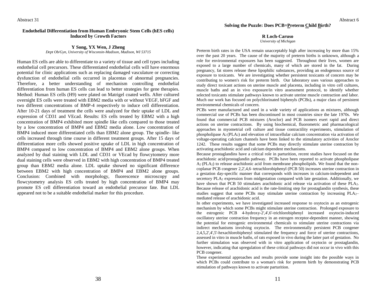#### **Endothelial Differentiation from Human Embryonic Stem Cells (hES cells) Induced by** G**rowth Factors**

**Y Song, YX Wen, J Zheng**

*Dept Ob/Gyn, University of Wisconsin-Madison, Madison, WI 53715*

Human ES cells are able to differentiate to a variety of tissue and cell types including endothelial cell precursors. These differentiated endothelial cells will have enormous potential for clinic applications such as replacing damaged vasculature or correcting dysfunction of endothelial cells occurred in placentas of abnormal pregnancies. Therefore, a better understanding of mechanism controlling endothelial differentiation from human ES cells can lead to better strategies for gene therapies. Method: Human ES cells (H9) were plated on Matrigel coated wells. After cultured overnight ES cells were treated with EBM2 media with or without VEGF, bFGF and two different concentrations of BMP-4 respectively to induce cell differentiation. After 10-21 days of treatment the cells were analyzed for their uptake of LDL and expression of CD31 and VEcad. Results: ES cells treated by EBM2 with a high concentration of BMP4 exhibited more spindle like cells compared to those treated by a low concentration of BMP4 and EBM2 media alone. Low concentration of BMP4 induced more differentiated cells than EBM2 alone group. The spindle- like cells increased through time course in different treatment groups. After 15 days of differentiation more cells showed positive uptake of LDL in high concentration of BMP4 compared to low concentration of BMP4 and EBM2 alone groups. When analyzed by dual staining with LDL and CD31 or VEcad by flowcytometry more dual staining cells were observed in EBM2 with high concentration of BMP4 treated group than EBM2 media alone. LDL uptake showed no significant difference between EBM2 with high concentration of BMP4 and EBM2 alone groups. Conclusion: Combined with morphology, fluorescence microscopy and flowcytometry analysis ES cells treated by high concentration of BMP4 may promote ES cell differentiation toward an endothelial precursor fate. But LDL appeared not to be a suitable endothelial marker for this procedure.

#### Solving the Puzzle: Does PCB=Preterm Child Birth?

**R Loch-Caruso**

*University of Michigan*

Preterm birth rates in the USA remain unacceptably high after increasing by more than 15% over the past 20 years. The cause of the majority of preterm births is unknown, although a role for environmental exposures has been suggested. Throughout their lives, women are exposed to a large number of chemicals, many of which are stored in the fat. During pregnancy, fat stores release these lipophilic substances, providing an endogenous source of exposure to toxicants. We are investigating whether persistent toxicants of concern may be contributing to women's risk for preterm birth. Our laboratory uses various approaches to study direct toxicant actions on uterine muscle and placenta, including in vitro cell cultures, muscle baths and an in vivo exposure/in vitro assessment protocol, to identify whether selected toxicants stimulate pathways known to activate uterine muscle contraction and labor. Much our work has focused on polychlorinated biphenyls (PCBs), a major class of persistent environmental chemicals of concern.

PCBs were manufactured and used in a wide variety of applications as mixtures, although commercial use of PCBs has been discontinued in most countries since the late 1970s. We found that commercial PCB mixtures (Aroclor) and PCB isomers exert rapid and direct actions on uterine contractions. By using biochemical, fluorometric and pharmacological approaches in myometrial cell culture and tissue contractility experiments, stimulation of phospholipase  $A_2$  (PLA<sub>2</sub>) and elevation of intracellular calcium concentration via activation of voltage-operating calcium channels have been linked to the stimulatory activities of Aroclor 1242. These results suggest that some PCBs may directly stimulate uterine contraction by activating arachidonic acid and calcium dependent mechanisms.

Because prostaglandins have a critical role in parturition, recent studies have focused on the arachidonic acid/prostaglandin pathway. PCBs have been reported to activate phospholipase  $A_2$  (PLA<sub>2</sub>) to release arachidonic acid from membrane phospholipids. We found that the noncoplanar PCB congener 2,2',4,6–tetrachlorobiphenyl (PCB 50) increases uterine contraction in a gestation day-specific manner that corresponds with increases in calcium-independent and secretory PLA<sup>2</sup> expression from midgestation compared with late gestation. Additionally, we have shown that PCB 50 stimulates arachidonic acid release via activation of these PLA2. Because release of arachidonic acid is the rate-limiting step for prostaglandin synthesis, these studies suggest that some PCBs may stimulate uterine contraction by increasing PLA2– mediated release of arachidonic acid.

In other experiments, we have investigated increased response to oxytocin as an estrogenic mechanism by which some PCBs might stimulate uterine contraction. Prolonged exposure to the estrogenic PCB 4-hydroxy-2',4',6'-trichlorobiphenyl increased oxytocin-induced oscillatory uterine contraction frequency in an estrogen receptor-dependent manner, showing the potential for estrogenic environmental chemicals to stimulate uterine contractions via indirect mechanisms involving oxytocin. The environmentally persistent PCB congener 2,4,5,2',4',5'-hexachlorobiphenyl stimulated the frequency and force of uterine contractions, assessed in vitro in muscle baths, of rats exposed in vivo during the latter part of gestation. No further stimulation was observed with in vitro application of oxytocin or prostaglandin, however, indicating that upregulation of these critical pathways did not occur in vivo with this PCB congener.

These experimental approaches and results provide some insight into the possible ways in which PCBs could contribute to a woman's risk for preterm birth by demonstrating PCB stimulation of pathways known to activate parturition.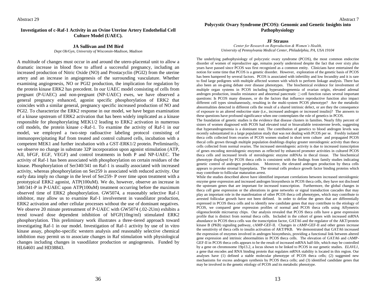#### **Investigation of c-Raf-1 Activity in an Ovine Uterine Artery Endothelial Cell Culture Model (UAEC).**

#### **JA Sullivan and IM Bird**

*Dept Ob/Gyn, University of Wisconsin-Madison, Madison*

A multitude of changes must occur in and around the utero-placental unit to allow a dramatic increase in blood flow to afford a successful pregnancy, including an increased production of Nitric Oxide (NO) and Prostacyclin (PGI2) from the uterine artery and an increase in angiogenesis of the surrounding vasculature. Whether examining angiogenesis, NO or PGI2 production, the implication for regulation by the protein kinase ERK2 has precedent. In our UAEC model consisting of cells from pregnant (P-UAEC) and non-pregnant (NP-UAEC) ewes, we have observed a general pregnancy enhanced, agonist specific phosphorylation of ERK2 that coincides with a similar general, pregnancy specific increased production of NO and PGI2. To characterize the ERK2 response in our model, we have begun examination of a kinase upstream of ERK2 activation that has been widely implicated as a kinase responsible for phosphorylating MEK1/2 leading to ERK2 activation in numerous cell models, the protein kinase c-Raf-1. To examine the activity of Raf-1 in our model, we employed a two-step radioactive labeling protocol consisting of immunoprecipitating Raf from treated and control cultured cells, incubation with a competent MEK1 and further incubation with a GST-ERK1/2 protein. Preliminarily, we observe no change in substrate 32P incorporation upon agonist stimulation (ATP, AII, bFGF, EGF, VEGF) and control treatments in both P and NP-UAEC. The activity of Raf-1 has been associated with phosphorylation on certain residues of the kinase. Phosphorylation of Ser340/341 on Raf-1 is usually associated with increased activity, whereas phosphorylation on Ser259 is associated with reduced activity. Our early data imply no change in the level of Ser259- P over time upon treatment with a prototypical ERK2 agonist, ATP(100uM). We do, however, observe an increase in 340/341-P in P-UAEC upon ATP(100uM) treatment occurring before the maximum observed time of ERK2 phosphorylation. GW5074, a reasonably selective Raf-1 inhibitor, may allow us to examine Raf-1 involvement in vasodilator production, ERK2 activation and other cellular processes without the use of dominant negatives. We observe 20 minute pretreatment of P-UAEC with GW5074 (.02-2Um) exhibits a trend toward dose dependent inhibition of bFGF(10ng/ml) stimulated ERK2 phosphorylation. This preliminary work illustrates a three-tiered approach toward investigating Raf-1 in our model. Investigation of Raf-1 activity by use of in vitro kinase assay, phospho-specific western analysis and reasonably selective chemical inhibition may permit us to associate changes in Raf stimulation with physiological changes including changes in vasodilator production or angiogenesis. Funded by HL64601 and HD38843.

#### **JF Strauss**

*Center for Research on Reproduction & Women's Health, University of Pennsylvania Medical Center, Philadelphia, PA, USA 19104*

The underlying pathophysiology of polycystic ovary syndrome (PCOS), the most common endocrine disorder of women of reproductive age, remains poorly understood despite the fact that over sixty plus years have passed since PCOS was first recognized as a common entity. Clinicians have entertained the notion for some time that PCOS is a genetic disorder. However, exploration of the genetic basis of PCOS has been hampered by several factors. PCOS is associated with infertility and low fecundity and it is rare to find large pedigrees with multiple affected women with which to perform linkage analysis. There has also been an on-going debate over disease phenotypes. The biochemical evidence for involvement of multiple organ systems in PCOS including hyperandrogenemia of ovarian origin, elevated adrenal androgen production, insulin resistance and abnormal pancreatic  $\Box$ -cell function raises several important questions: Is PCOS many diseases, or do the factors that influence reproductive function also impact different cell types simultaneously, resulting in the multi-system PCOS phenotype? Are the metabolic abnormalities detected in different cells the result of a shared intrinsic defect, or are they the consequence of exposure to an altered endocrine state (i.e., increased androgen or increased insulin)? The answers to these questions have profound significance when one contemplates the role of genetics in PCOS.

The foundation of genetic studies is the evidence that disease clusters in families. Nearly fifty percent of sisters of women diagnosed with PCOS had elevated total or bioavailable testosterone levels, suggesting that hyperandrogenemia is a dominant trait. The contribution of genetics to blood androgen levels was recently substantiated in a large population study that was not dealing with PCOS per se. Freshly isolated theca cells collected from ovaries of PCOS women studied in short term culture and propagated PCOS thecal cells grown through multiple population doublings display greater steroidogenic activity than theca cells collected from normal ovaries. The increased steroidogenic activity is due to increased transcription of genes encoding steroidogenic enzymes as reflected by enhanced promoter activities in cultured PCOS theca cells and increased levels of steroidogenic enzyme mRNAs in thecal tissue. The biochemical phenotype displayed by PCOS theca cells is consistent with the findings from family studies indicating genetic control of androgen production. Moreover, the elevated androgen production by theca cells appears to provoke stromal hyperplasia. The stromal cells produce growth factor binding proteins which may contribute to follicular maturation arrest.

While the studies described above have identified important correlations between increased steroidogenic enzyme gene expression and increased androgen biosynthesis in PCOS theca cells, they have not disclosed the upstream genes that are important for increased transcription. Furthermore, the global changes in theca cell gene expression or the alterations in gene networks or signal transduction cascades that may play an important role in the manifestation of other PCOS theca cell phenotypes, which may contribute to arrested follicular growth have not been defined. In order to define the genes that are differentially expressed in PCOS theca cells and to identify new candidate genes that may contribute to the etiology of PCOS, we compared gene expression profiles of normal and PCOS theca cells using Affymetrix oligonucleotide microarray chips. Our analysis revealed that PCOS theca cells have a gene expression profile that is distinct from normal theca cells. Included in the cohort of genes with increased mRNA abundance in PCOS theca cells was the transcription factor, GATA6 and the regulator of the AKT/protein kinase B (PKB) signaling pathway, cAMP-GEF-II. Changes in cAMP-GEF-II and other genes increase the sensitivity of theca cells to insulin activation of AKT/PKB. We demonstrated that GATA6 increased the expression of enzymes involved in androgen biosynthesis, providing a functional link between altered gene expression and intrinsic abnormalities in PCOS theca cells. The elevation of GATA6 and cAMP-GEF-II in PCOS theca cells appears to be the result of increased mRNA half-life, which may be controlled by a gene on chromosome 19p13.2, a locus shown to be linked to PCOS in our genetic studies. *ELAVL1,* a gene that encodes and RNA binding protein that regulates mRNA stability is located in this region. Our analyses have (1) defined a stable molecular phenotype of PCOS theca cells; (2) suggested new mechanisms for excess androgen synthesis by PCOS theca cells; and (3) identified candidate genes that may be involved in the genetic etiology of PCOS and its metabolic phenotype.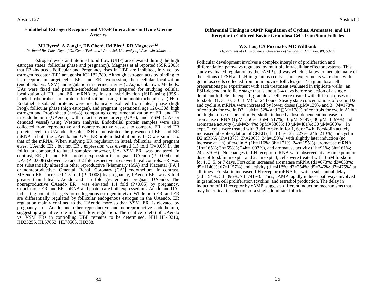#### **Endothelial Estrogen Receptors and VEGF Interactions in Ovine Uterine Arteries**

#### **MJ Byers<sup>1</sup> , A Zangl <sup>1</sup> , DB Chen<sup>1</sup> , IM Bird<sup>1</sup> , RR Magness1,2,3**

*<sup>1</sup>Perinatal Res Labs, Dept of Ob/Gyn ; <sup>2</sup>Peds and <sup>3</sup> Anim Sci, University of Wisconsin-Madison .*

Estrogen levels and uterine blood flow (UBF) are elevated during the high estrogen states (follicular phase and pregnancy). Magness et al reported (SSR 2003) that E2 -induced, Follicular and Pregnancy rises in UBF are inhibited, in vivo, by estrogen receptor (ER) antagonist ICI 182,780. Although estrogen acts by binding to its receptors in target cells, ER and ER expression, their cellular localization (endothelial vs. VSM) and regulation in uterine arteries (UAs) is unknown. Methods: UAs were fixed and paraffin-embedded sections prepared for studying cellular localization of ER and ER mRNA by in situ hybridization (ISH) using [35S] labeled riboprobes or protein localization using immunohistochemistry (IHC). Endothelial-isolated proteins were mechanically isolated from luteal phase (high Prog), follicular phase (high estrogen), and pregnant (gestational age 120-130d; high estrogen and Prog) sheep (n=6-8), comparing compartmentalization of ER and ER in endothelium (UAendo) with intact uterine artery (UA+), and VSM (UA- or denuded vessel) using Western analysis. Endothelial protein samples were also collected from reproductive and nonreproductive vessels to compare ER and ER protein levels to UAendo. Results: ISH demonstrated the presence of ER and ER mRNA in both the UAendo and UA-. ER protein distribution by IHC was similar to that of the mRNA. When studying ER regulation in luteal, follicular, and pregnant ewes, UAendo ER, but not ER, expression was elevated 1.5 fold  $(P=0.05)$  in the follicular compared to luteal samples; however, UA- VSM ER was unaltered. In contrast, ER , but not ER, protein expression in pregnant UAendo  $(P=0.004)$  and UA- $(P=0.008)$  showed 1.6 and 3.2 fold respective rises over luteal controls. ER was not substantially altered in other reproductive [Mammary (MA) and Placental (PA)] or nonreproductive [Omental, Renal, Coronary (CA)] endothelium. In contrast, MAendo ER increased 1.5 fold  $(P=0.008)$  by pregnancy, PAendo ER was 3 fold greater than luteal UAendo and 1.5 fold greater then pregnant UAendo. The nonreproductive CAendo ER was elevated 1.4 fold  $(\overline{P} < 0.05)$  by pregnancy. Conclusion: ER and ER mRNA and protein are both expressed in UAendo and UAindicating potential targets for endogenous estrogen in vivo. While both ER and ER are differentially regulated by follicular endogenous estrogen in the UAendo, ER regulation mainly confined to the UAendo more so than VSM. ER is elevated by pregnancy in UAendo and other reproductive and nonreproductive endothelium, suggesting a putative role in blood flow regulation. The relative role(s) of UAendo vs. VSM ERs in controlling UBF remains to be determined. NIH HL49210, HD33255, HL57653, HL70563, HD388.

#### **Differential Timing in cAMP Regulation of Cyclins, Aromatase, and LH Receptor in Cultured Bovine Granulosa Cells from 5mm Follicles**

#### **WX Luo, CA Piccinato, MC Wiltbank**

*Department of Dairy Science, University of Wisconsin, Madison, WI, 53706*

Follicular development involves a complex interplay of proliferation and differentiation pathways regulated by multiple intracellular effector systems. This study evaluated regulation by the cAMP pathway which is know to mediate many of the actions of FSH and LH in granulosa cells. Three experiments were done with granulosa cells collected from 5mm bovine follicles ( $n = 4-5$  granulosa cell preparations per experiment with each treatment evaluated in triplicate wells), an FSH-dependent follicle stage that is about 3-4 days before selection of a single dominant follicle. In expt. 1, granulosa cells were treated with different doses of forskolin (1, 3, 10, 30  $\Box$  M) for 24 hours. Steady state concentrations of cyclin D2 and cyclin A mRNA were increased by lower doses  $(1\mu\text{M}=139\%$  and  $3\Box\text{M}=178\%$ of controls for cyclin D2;  $1\mu$ M=152% and  $3\Box$ M=178% of controls for cyclin A) but not higher dose of forskolin. Forskolin induced a dose-dependent increase in aromatase mRNA (1µM=350%; 3µM=517%; 10 µM=914%; 30 µM=1199%) and aromatase activity (1µM=244%;  $3 \mu$ M=336%; 10 µM=481%; 30 µM=560%). In expt. 2, cells were treated with 3µM forskolin for 1, 6, or 24 h. Forskolin acutely increased phosphorylation of CREB (1h=181%; 3h=227%; 24h=210%) and cyclin D2 mRNA  $(1h=137\%; 3h=206\%; 24h=159\%)$  with slightly later induction (no increase at 1 h) of cyclin A (1h=116%;  $3h=171\%$ ;  $24h=155\%$ ), aromatase mRNA  $(1h=165\%; 3h=698\%; 24h=1003\%)$ , and aromatase activity  $(1h=91\%; 3h=161\%;$ 24h=370%). No changes in LH receptor mRNA were observed at any time point or dose of forsklin in expt 1 and 2. In expt. 3, cells were treated with 3 µM forskolin for 1, 3, 5, or 7 days. Forskolin increased aromatase mRNA  $(d1=673\%; d3=638\%;$  $d5=1140\%$ ;  $d7=1157\%$ ) and activity ( $d1=418\%$ ;  $d3=254\%$ ;  $d5=346\%$ ;  $d7=475\%$ ) at all times. Forskolin increased LH receptor mRNA but with a substantial delay (3d=154%; 5d=396%; 7d=741%). Thus, cAMP rapidly induces pathways involved in granulosa cell proliferation (cyclins) and estradiol production. The delay in induction of LH receptor by cAMP suggests different induction mechanisms that may be critical in selection of a single dominant follicle.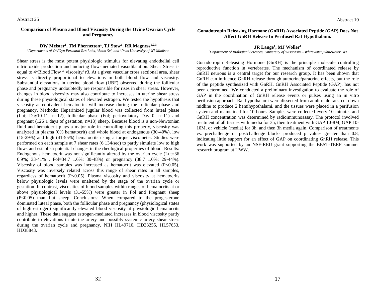#### **Comparison of Plasma and Blood Viscosity During the Ovine Ovarian Cycle and Pregnancy**

#### **DW Meister<sup>1</sup> , TM Phernetton<sup>1</sup> , TJ Stow<sup>1</sup> , RR Magness1,2,3**

*<sup>1</sup>Departments of Ob/Gyn Perinatal Res Labs, <sup>2</sup>Anim Sci, and <sup>3</sup>Peds University of WI-Madison*

Shear stress is the most potent physiologic stimulus for elevating endothelial cell nitric oxide production and inducing flow-mediated vasodilatation. Shear Stress is equal to 4\*Blood Flow \* viscosity/ r3. At a given vascular cross sectional area, shear stress is directly proportional to elevations in both blood flow and viscosity. Substantial elevations in uterine blood flow (UBF) observed during the follicular phase and pregnancy undoubtedly are responsible for rises in shear stress. However, changes in blood viscosity may also contribute to increases in uterine shear stress during these physiological states of elevated estrogen. We tested the hypothesis that viscosity at equivalent hematocrits will increase during the follicular phase and pregnancy. Methods: Heparinized jugular blood was collected from luteal phase (Lut; Day10-11, n=12), follicular phase (Fol; periovulatory Day 0, n=11) and pregnant (126 1 days of gestation, n=18) sheep. Because blood is a non-Newtonian fluid and hematocrit plays a major role in controlling this property, viscosity was analyzed in plasma (0% hematocrit) and whole blood at endogenous (30-40%), low (15-29%) and high (41-55%) hematocrits using a torque viscometer. Studies were performed on each sample at 7 shear rates (6 134/sec) to partly simulate low to high flows and establish potential changes in the rheological properties of blood. Results: Endogenous hematocrit was not significantly altered by the ovarian cycle (Lut=36 0.9%; 33-41% , Fol=34.7 1.6%; 30-48%) or pregnancy (38.7 1.0%; 29-44%). Viscosity of blood samples was increased as hematocrit was elevated (P<0.05). Viscosity was inversely related across this range of shear rates in all samples, regardless of hematocrit (P<0.05). Plasma viscosity and viscosity at hematocrits below physiologic levels were unaltered by the stage of the ovarian cycle or gestation. In contrast, viscosities of blood samples within ranges of hematocrits at or above physiological levels (31-55%) were greater in Fol and Pregnant sheep (P<0.05) than Lut sheep. Conclusions: When compared to the progesterone dominated luteal phase, both the follicular phase and pregnancy (physiological states of high estrogen) significantly elevated blood viscosity at physiologic hematocrits and higher. These data suggest estrogen-mediated increases in blood viscosity partly contribute to elevations in uterine artery and possibly systemic artery shear stress during the ovarian cycle and pregnancy. NIH HL49710, HD33255, HL57653, HD38843.

#### **Gonadotropin Releasing Hormone (GnRH) Associated Peptide (GAP) Does Not Affect GnRH Release In Perifused Rat Hypothalami.**

#### **JR Lange<sup>1</sup> , MJ Woller<sup>1</sup>**

#### *<sup>1</sup>Department of Biological Sciences, University of Wisconsin – Whitewater,Whitewater, WI*

Gonadotropin Releasing Hormone (GnRH) is the principle molecule controlling reproductive function in vertebrates. The mechanism of coordinated release by GnRH neurons is a central target for our research group. It has been shown that GnRH can influence GnRH release through autocrine/paracrine effects, but the role of the peptide synthesized with GnRH, GnRH Associated Peptide (GAP), has not been determined. We conducted a preliminary investigation to evaluate the role of GAP in the coordination of GnRH release events or pulses using an in vitro perifusion approach. Rat hypothalami were dissected from adult male rats, cut down midline to produce 2 hemihypothalami, and the tissues were placed in a perifusion system and maintained for 10 hours. Samples were collected every 10 minutes and GnRH concentration was determined by radioimmunoassay. The protocol involved treatment of all tissues with media for 3h, then treatment with GAP 10-8M, GAP 10- 10M, or vehicle (media) for 3h, and then 3h media again. Comparison of treatments vs. prechallenge or postchallenge blocks produced p values greater than 0.8, indicating little support for an effect of GAP on coordinating GnRH release. This work was supported by an NSF-REU grant supporting the BEST-TERP summer research program at UWW.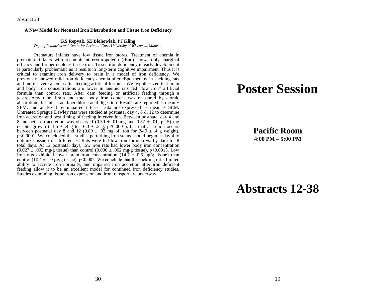Abstract 23

#### **A New Model for Neonatal Iron Distrubution and Tissue Iron Deficiency**

#### **KS Repyak, SE Blohowiak, PJ Kling**

*Dept of Pediatrics and Center for Perinatal Care, University of Wisconsin, Madison*

Premature infants have low tissue iron stores. Treatment of anemia in premature infants with recombinant erythropoietin (rEpo) shows only marginal efficacy and further depletes tissue iron. Tissue iron deficiency in early development is particularly problematic as it results in long-term cognitive impairment. Thus it is critical to examine iron delivery to brain in a model of iron deficiency. We previously showed mild iron deficiency anemia after rEpo therapy in suckling rats and more severe anemia after feeding artificial formula. We hypothesized that brain and body iron concentrations are lower in anemic rats fed "low iron" artificial formula than control rats. After dam feeding or artificial feeding through a gastrostomy tube, brain and total body iron content was measured by atomic absorption after nitric acid/perchloric acid digestion. Results are reported as mean  $\pm$ SEM, and analyzed by unpaired t tests. Data are expressed as mean ± SEM. Untreated Sprague Dawley rats were studied at postnatal day 4, 8 & 12 to determine iron accretion and best timing of feeding intervention. Between postnatal day 4 and 8, no net iron accretion was observed  $(0.59 \pm .01 \text{ mg and } 0.57 \pm .01, \text{ p=}.5) \text{ mg}$ despite growth (11.5  $\pm$  .4 g to 16.0  $\pm$  .5 g, p<0.0001), but that accretion occurs between postnatal day 8 and 12 (0.89  $\pm$  .03 mg of iron for 24.9  $\pm$  .4 g weight), p<0.0001. We concluded that studies perturbing iron status should begin at day 4 to optimize tissue iron differences. Rats were fed low iron formula vs. by dam for 8 total days. At 12 postnatal days, low iron rats had lower body iron concentration  $(0.027 \pm .002 \text{ mg/g tissue})$  than control  $(0.036 \pm .002 \text{ mg/g tissue})$ , p<0.0015. Low iron rats exhibited lower brain iron concentration (14.7  $\pm$  0.6  $\mu$ g/g tissue) than control (18.4  $\pm$  1.0 µg/g tissue), p<0.002. We conclude that the suckling rat's limited ability to accrete iron normally, and impaired iron accretion after iron deficient feeding allow it to be an excellent model for continued iron deficiency studies. Studies examining tissue iron expression and iron transport are underway.

## **Poster Session**

**Pacific Room 4:00 PM – 5:00 PM**

## **Abstracts 12-38**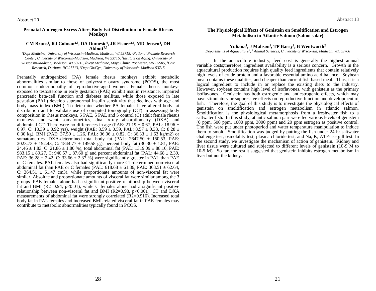#### **Prenatal Androgen Excess Alters Body Fat Distribution in Female Rhesus Monkeys**

#### **CM Bruns<sup>1</sup> , RJ Colman2,3, DA Dumesic<sup>4</sup> , JR Eisner2,5, MD Jensen<sup>4</sup> , DH Abbott2,6**

*<sup>1</sup>Dept Medicine, University of Wisconsin-Madison, Madison, WI 53715, <sup>2</sup>National Primate Research*  Center, University of Wisconsin-Madison, Madison, WI 53715, <sup>3</sup>Institute on Aging, University of *Wisconsin-Madison, Madison, WI 53715, <sup>4</sup>Dept Medicine, Mayo Clinic, Rochester, MN 55905, <sup>5</sup>Cato Research, Durham, NC 27713, <sup>6</sup>Dept Ob/Gyn, University of Wisconsin-Madison 53715*

Prenatally androgenized (PA) female rhesus monkeys exhibit metabolic abnormalities similar to those of polycystic ovary syndrome (PCOS), the most common endocrinopathy of reproductive-aged women. Female rhesus monkeys exposed to testosterone in early gestation (PAE) exhibit insulin resistance, impaired pancreatic beta-cell function and diabetes mellitus, while those exposed in late gestation (PAL) develop supranormal insulin sensitivity that declines with age and body mass index (BMI). To determine whether PA females have altered body fat distribution and to validate use of computed tomography (CT) in assessing body composition in rhesus monkeys, 5 PAE,  $\bar{5}$  PAL and  $\bar{5}$  control (C) adult female rhesus monkeys underwent somatometrics, dual x-ray absorptiometry (DXA) and abdominal CT. There were no differences in age (PAE: 21.19  $\pm$  0.67, PAL: 18.96  $\pm$ 0.97, C: 18.39  $\pm$  0.92 yrs), weight (PAE: 8.59  $\pm$  0.59, PAL: 8.57  $\pm$  0.33, C: 8.28  $\pm$ 0.30 kg), BMI (PAE:  $37.59 \pm 1.26$ , PAL:  $36.06 \pm 0.82$ , C:  $36.33 \pm 1.63$  kg/m2) or somatometrics. DXA-determined total body fat (PAL:  $2647.50 \pm 150.53$ , PAE: 2023.73  $\pm$  152.43, C: 1844.77  $\pm$  149.58 g;), percent body fat (30.30  $\pm$  1.81, PAE: 24.46  $\pm$  1.83, C: 21.86  $\pm$  1.80 %), total abdominal fat (PAL: 1319.09  $\pm$  88.16, PAE: 983.15  $\pm$  89.27, C: 940.57  $\pm$  87.60 g) and percent abdominal fat (PAL: 44.68  $\pm$  2.39, PAE:  $36.28 \pm 2.42$ , C:  $33.66 \pm 2.37$ %) were significantly greater in PAL than PAE or C females. PAL females also had significantly more CT-determined non-visceral abdominal fat than PAE or C females (PAL:  $618.68 \pm 61.86$ , PAE:  $363.51 \pm 62.64$ , C:  $364.51 \pm 61.47$  cm3), while proportionate amounts of non-visceral fat were similar. Absolute and proportionate amounts of visceral fat were similar among the 3 groups. PAE females alone had a significant positive relationship between visceral fat and BMI (R2=0.94,  $p<0.01$ ), while C females alone had a significant positive relationship between non-visceral fat and BMI ( $R2=0.98$ ,  $p<0.001$ ). CT and DXA measurements of abdominal fat were strongly correlated (R2=0.916). Increased total body fat in PAL females and increased BMI-related visceral fat in PAE females may contribute to metabolic abnormalities typically found in PCOS.

Abstract 13

#### **The Physiological Effects of Genistein on Smoltification and Estrogen Metabolism in Atlantic Salmon (Salmo salar)**

#### **Yuliana<sup>1</sup> , J Malison<sup>1</sup> , TP Barry<sup>1</sup> , B Wentworth<sup>2</sup>**

#### *Departments of Aquaculture<sup>1</sup> , <sup>2</sup> Animal Sciences, University of Wisconsin, Madison, WI, 53706*

In the aquaculture industry, feed cost is generally the highest annual variable costs;therefore, ingredient availability is a serious concern. Growth in the aquacultural production requires high quality feed ingredients that contain relatively high levels of crude protein and a favorable essential amino acid balance. Soybean meal contains these qualities, and cheaper than current fish based meal. Thus, it is a logical ingredient to include in or replace the existing diets to the industry. However, soybean contains high level of isoflavones, with genistein as the primary isoflavones. Genistein has both estrogenic and antiestrogenic effects, which may have stimulatory or suppressive effects on reproductive function and development of fish. Therefore, the goal of this study is to investigate the physiological effects of genistein on smoltification and estrogen metabolism in atlantic salmon. Smoltification is the physiological metamorphosis from a freshwater fish to a saltwater fish. In this study, atlantic salmon parr were fed various levels of genistein (0 ppm, 500 ppm, 1000 ppm, 3000 ppm) and 20 ppm estrogen as positive control. The fish were put under photoperiod and water temperature manipulation to induce them to smolt. Smoltification was judged by putting the fish under 24 hr saltwater challenge test, osmolality test, plasma chloride test, and Na, K, ATP-ase gill test. In the second study, we investigate the mechanism of action of genistein. Kidney and liver tissue were cultured and subjected to different levels of genistein (10-9 M to 10-5 M). So far, the result suggested that genistein inhibits estrogen metabolism in liver but not the kidney.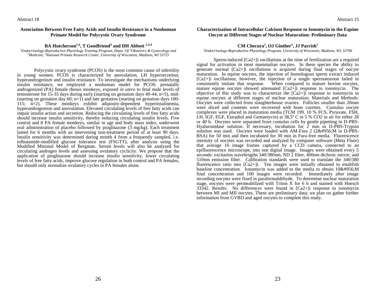Abstract 18

#### **Association Between Free Fatty Acids and Insulin Resistance in a Nonhuman Primate Model for Polycystic Ovary Syndrome**

**BA Hutcherson1,4, T Goodfriend<sup>3</sup> and DH Abbott 1,2,4**

<sup>1</sup>*Endocrinology-Reproductive Physiology Training Program, Depts. Of <sup>2</sup>Obstetrics & Gynecology and <sup>3</sup>Medicine, <sup>4</sup>National Primate Research Center, University of Wisconsin, Madison, WI 53715*

Polycystic ovary syndrome (PCOS) is the most common cause of infertility in young women. PCOS is characterized by anovulation, LH hypersecretion, hyperandrogenism and insulin resistance. To investigate the mechanisms underlying insulin resistance, we employed a nonhuman model for PCOS: prenatally androgenized (PA) female rhesus monkeys, exposed *in utero* to fetal male levels of testosterone for 15-35 days during early (starting on gestation days 40-44; n=5), mid- (starting on gestation day 60; n=1) and late gestation (starting on gestation days 100-115; n=2). These monkeys exhibit adiposity-dependent hyperinsulinemia, hyperandrogenism and anovulation. Elevated circulating levels of free fatty acids can impair insulin action and secretion. Reducing the circulating levels of free fatty acids should increase insulin sensitivity, thereby reducing circulating insulin levels. Five control and 8 PA female monkeys, similar in age and body mass index, underwent oral administration of placebo followed by pioglitazone  $(3 \text{ mg/kg})$ . Each treatment lasted for 6 months with an intervening non-treatment period of at least 90 days. Insulin sensitivity was determined during month 4 from a frequently sampled, i.v. tolbutamide-modified glucose tolerance test (FSGTT), after analysis using the Modified Minimal Model of Bergman. Serum levels will also be analyzed for circulating androgen levels and assessing ovulatory cyclicity. We propose that the application of pioglitazone should increase insulin sensitivity, lower circulating levels of free fatty acids, improve glucose regulation in both control and PA females, but should only normalize ovulatory cycles in PA females alone.

#### **Characterization of Intracellular Calcium Response to Ionomycin in the Equine Oocyte at Different Stages of Nuclear Maturation: Preliminary Data**

#### **CM Checura<sup>1</sup> , OJ Ginther<sup>1</sup> , JJ Parrish<sup>1</sup>**

*<sup>1</sup>Endocrinology-Reproductive Physiology Program, University of Wisconsin, Madison, WI, 53706*

Sperm-induced [Ca2+]i oscillations at the time of fertilization are a required signal for activation in most mammalian oocytes. In these species the ability to generate normal [Ca2+]i oscillations is acquired during final stages of oocyte maturation. In equine oocytes, the injection of homologous sperm extract induced [Ca2+]i oscillations; however, the injection of a single spermatozoon failed in consistently initiate that response. When compared to mature bovine oocytes, mature equine oocytes showed attenuated  $[Ca2+]i$  response to ionomycin. The objective of this study was to characterize the  $[Ca2+]i$  response to ionomycin in equine oocytes at different stages of nuclear maturation. Materials and Methods: Oocytes were collected from slaughterhouse ovaries. Follicles smaller than 20mm were sliced and contents were recovered with bone curettes. Cumulus oocyte complexes were placed in maturation media (TCM 199, 10 % FCS, Pyruvate, FSH, LH, IGF, EGF, Estradiol and Gentamycin) at 38,5º C in 5 % CO2 in air for either 28 or 40 h. Oocytes were separated from cumulus cells by gentle pipetting in D-PBS-Hyaluronidase solution. If necessary, incubation for 2 min in D-PBS-Trypsin solution was used. Oocytes were loaded with AM-Fura 2  $(2\&\#956)$ M in D-PBS-BSA) for 50 min and then incubated for 30 min in Fura-free media. Fluorescence intensity of oocytes was recorded and analyzed by computer software (Meta Fluor) that average 16 image frames captured by a CCD camera, connected to an epifluorescence microscope, into one digital image. Images were obtained every 5 seconds: excitation wavelengths 340/380nm, ND 2 filter, 400nm dichroic mirror, and 510nm emission filter. Calibration standards were used to translate the 340/380 fluorescence ratio into [Ca2+]i. Ten images were initially obtained to establish baseline concentration. Ionomycin was added to the media to obtain  $10\&\#956$ ; M final concentration and 100 images were recorded. Immediately after image recording oocytes were fixed in paraformaldehyde. To determine nuclear maturation stage, oocytes were permeabilized with Triton X for 6 h and stained with Hoesch 33342. Results: No differences were found in [Ca2+]i response to ionomycin between MI and MII oocytes. These are preliminary data; we plan on gather further information from GVBD and aged oocytes to complete this study.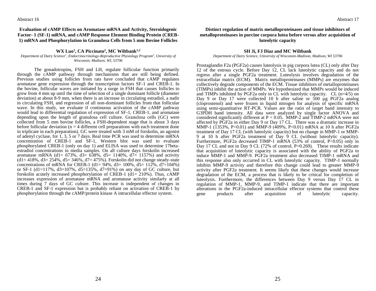Abstract 16

**Evaluation of cAMP Effects on Aromatase mRNA and Activity, Steroidogenic Factor- 1 (SF-1) mRNA, and cAMP Response Element Binding Protein (CREB-1) mRNA and Phosphorylation in Granulosa Cells from 5 mm Bovine Follicles**

### **WX Luo<sup>1</sup> , CA Piccinato<sup>2</sup> , MC Wiltbank1,2**

*Department of Dairy Science<sup>1</sup> , Endocrinocrinology-Reproductive Physiology Program<sup>2</sup> , University of Wisconsin, Madison, WI, 53706* 

The gonadotropins, FSH and LH, regulate follicular function primarily through the cAMP pathway through mechanisms that are still being defined. Previous studies using follicles from rats have concluded that cAMP regulates aromatase gene expression through the transcription factors SF-1 and CREB-1. In the bovine, follicular waves are initiated by a surge in FSH that causes follicles to grow from 4 mm up until the time of selection of a single dominant follicle (diameter deviation) at about 8-9 mm, when there is an increase in circulating estradiol, a nadir in circulating FSH, and regression of all non-dominant follicles from that follicular wave. In this study, we evaluate if continuous activation of the cAMP pathway would lead to differential regulation of expression of SF-1, CREB-1, and aromatase depending upon the length of granulosa cell culture. Granulosa cells (GC) were collected from 5 mm bovine follicles, a FSH-dependent stage that is about 3 days before follicular deviation ( $n = 4$  different cell preparations with each treatment done in triplicate in each preparation). GC were treated with 3 mM of forskolin, an agonist of adenyl cyclase, for 1, 3, 5 or 7 days. Real time PCR was used to determine mRNA concentration of CREB-1 and SF-1, Western blot was used to evaluate phosphorylated CREB-1 (only on day 1) and ELISA was used to determine 17betaestradiol concentrations in media samples. On all culture days forskolin increased aromatase mRNA (d1=  $673\%$ , d3=  $638\%$ , d5= 1140%, d7= 1157%) and activity  $(d1 = 418\%, d3 = 254\%, d5 = 346\%, d7 = 475\%$ . Forskolin did not change steady-state concentrations of mRNA for CREB-1 (d1= 94%, d3= 100%, d5= 112%, d7=104%) or SF-1 (d1=117%, d3=107%, d5=135%, d7=91%) on any day of GC culture, but forskolin acutely increased phosphorylation of CREB-1 (d1= 210%). Thus, cAMP increases expression of aromatase mRNA and aromatase activity similarly at all times during 7 days of GC culture. This increase is independent of changes in CREB-1 and SF-1 expression but is probably reliant on activation of CREB-1 by phosphorylation through the cAMP/protein kinase A intracellular effector system.

**Distinct regulation of matrix metalloproteinases and tissue inhibitors of metalloproteinases in porcine corpora lutea before versus after acquisition of luteolytic capacity**

#### **SH Ji, FJ Diaz and MC Wiltbank**

*Department of Dairy Science, University of Wisconsin-Madison, Madison, WI 53706*

Prostaglandin F2a (PGF2a) causes luteolysis in pig corpora lutea (CL) only after Day 12 of the estrous cycle. Before Day 12, CL lack luteolytic capacity and do not regress after a single PGF2a treatment. Luteolysis involves degradation of the extracellular matrix (ECM). Matrix metalloproteinases (MMPs) are enzymes that collectively degrade components of the ECM. Tissue inhibitors of metalloproteinases (TIMPs) inhibit the action of MMPs. We hypothesized that MMPs would be induced and TIMPs inhibited by PGF2a only in CL with luteolytic capacity. CL  $(n=4/5)$  on Day 9 or Day 17 were collected 10 h after saline or 500 µg PGF2a analog (cloprostenol) and were frozen in liquid nitrogen for analysis of specific mRNA using semi-quantitative RT-PCR. Values are the ratio of target band intensity to G3PDH band intensity. All data were analyzed by single factor ANOVA and considered significantly different at  $P < 0.05$ . MMP-2 and TIMP-2 mRNA were not affected by PGF2a in either Day 9 or Day 17 CL. There was a dramatic increase in MMP-1 (1353%, P<0.01) and MMP-9 (409%, P<0.01) mRNA at 10 h after PGF2a treatment of Day 17 CL (with luteolytic capacity) but no change in MMP-1 or MMP-9 at 10 h after PGF2a treatment of Day 9 CL (without luteolytic capacity). Furthermore, PGF2a decreased TIMP-1 mRNA (53% of control, P<0.05) only in Day 17 CL and not in Day 9 CL (72% of control,  $P=0.269$ ). These results indicate that acquisition of luteolytic capacity is associated with the ability of PGF2a to induce MMP-1 and MMP-9. PGF2a treatment also decreased TIMP-1 mRNA and this response also only occurred in CL with luteolytic capacity. TIMP-1 normally inhibits MMP-9 activity and therefore this change could lead to greater MMP-9 activity after PGF2a treatment. It seems likely that these changes would increase degradation of the ECM, a process that is likely to be critical for completion of luteolysis. Furthermore, the differences between Day 9 versus Day 17 CL in regulation of MMP-1, MMP-9, and TIMP-1 indicate that there are important alterations in the PGF2a-induced intracellular effector systems that control these gene products after acquisition of luteolytic capacity.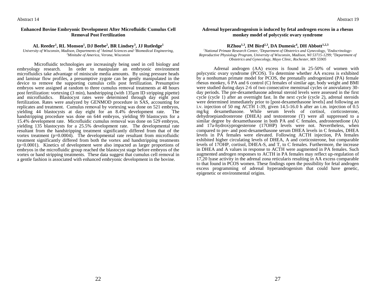#### **Enhanced Bovine Embryonic Development After Microfluidic Cumulus Cell Removal Post Fertilization**

#### **AL Reeder<sup>1</sup> , RL Monson<sup>1</sup> , DJ Beebe<sup>2</sup> , BR Lindsey<sup>3</sup> , JJ Rutledge<sup>1</sup>**

*University of Wisconsin, Madison, Departments of <sup>1</sup>Animal Sciences and <sup>2</sup>Biomedical Engineering, <sup>3</sup>Minitube of America, Verona, Wisconsin*

Microfluidic technologies are increasingly being used in cell biology and embryology research. In order to manipulate an embryonic environment microfluidics take advantage of miniscule media amounts. By using pressure heads and laminar flow profiles, a presumptive zygote can be gently manipulated in the device to remove the supporting cumulus cells post fertilization. Presumptive embryos were assigned at random to three cumulus removal treatments at 48 hours post fertilization: vortexing (3 min), handstripping (with 135µm ID stripping pipette) and microfluidics. Blastocyst rates were determined through day eight post fertilization. Rates were analyzed by GENMOD procedure in SAS, accounting for replicates and treatment. Cumulus removal by vortexing was done on 521 embryos, yielding 44 blastocysts at day eight for an 8.4% development rate. The handstripping procedure was done on 644 embryos, yielding 99 blastocysts for a 15.4% development rate. Microfluidic cumulus removal was done on 529 embryos, yielding 135 blastocysts for a 25.5% development rate. The developmental rate resultant from the handstripping treatment significantly differed from that of the vortex treatment  $(p=0.0004)$ . The developmental rate resultant from microfluidic treatment significantly differed from both the vortex and handstripping treatments (p<0.0001). Kinetics of development were also impacted as larger proportions of embryos in the microfluidic group reached the blastocyst stage before embryos of the vortex or hand stripping treatments. These data suggest that cumulus cell removal in a gentle fashion is associated with enhanced embryonic development in the bovine.

#### **Adrenal hyperandrogenism is induced by fetal androgen excess in a rhesus monkey model of polycystic ovary syndrome**

#### **RZhou1,3, IM Bird2,3, DA Dumesic<sup>4</sup> , DH Abbott1,2,3**

*1National Primate Research Center, 2Department of Obstetrics and Gynecology, 3Endocrinology-Reproductive Physiology Program, University of Wisconsin, Madison, WI 53715-1299; <sup>4</sup>Department of Obstetrics and Gynecology, Mayo Clinic, Rochester, MN 55905*

Adrenal androgen (AA) excess is found in 25-50% of women with polycystic ovary syndrome (PCOS). To determine whether AA excess is exhibited by a nonhuman primate model for PCOS, the prenatally androgenized (PA) female rhesus monkey, 6 PA and 6 control (C) females of similar age, body weight and BMI were studied during days 2-6 of two consecutive menstrual cycles or anovulatory 30 day periods. The pre-dexamethasone adrenal steroid levels were assessed in the first cycle (cycle 1) after an overnight fast. In the next cycle (cycle 2), adrenal steroids were determined immediately prior to [post-dexamethasone levels] and following an i.v. injection of 50 mg  $\angle$ ACTH 1-39, given 14.5-16.0 h after an i.m. injection of 0.5 mg/kg dexamethasone. While serum levels of cortisol, corticosterone, dehydroepiandrosterone (DHEA) and testosterone (T) were all suppressed to a similar degree by dexamethasone in both PA and C females, androstenedione (A) and 17a-hydroxyprogesterone (17OHP) levels were not. Nevertheless, when compared to pre- and post-dexamethasone serum DHEA levels in C females, DHEA levels in PA females were elevated. Following ACTH injection, PA females exhibited higher circulating levels of DHEA, A and corticosterone, but comparable levels of 17OHP, cortisol, DHEA-S, and T, to C females. Furthermore, the increase in DHEA and A values in response to ACTH were augmented in PA females. Such augmented androgen responses to ACTH in PA females may reflect up-regulation of 17,20 lyase activity in the adrenal zona reticularis resulting in AA excess comparable to that found in PCOS women. These findings open the possibility for fetal androgen excess programming of adrenal hyperandrogenism that could have genetic, epigenetic or environmental origins.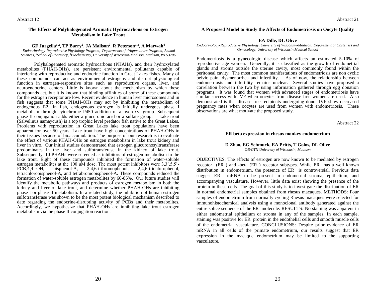#### **The Effects of Polyhalogenated Aromatic Hydrocarbons on Estrogen Metabolism in Lake Trout**

#### **GF Jurgella1,2, TP Barry<sup>2</sup> , JA Malison<sup>2</sup> , R Peterson1,3, A Marwah<sup>4</sup>**

*<sup>1</sup>Endocrinology-Reproductive Physiology Program, Departments of <sup>2</sup>Aquaculture Program, Animal Sciences, <sup>3</sup>School of Pharmacy, <sup>4</sup>Biochemistry, University of Wisconsin-Madison, Madison, WI 53706*

Polyhalogenated aromatic hydrocarbons (PHAHs), and their hydroxylated metabolites (PHAH-OHs), are persistent environmental pollutants capable of interfering with reproductive and endocrine function in Great Lakes fishes. Many of these compounds can act as environmental estrogens and disrupt physiological function in estrogen-responsive sites such as reproductive organs, liver, and neuroendocrine centers. Little is known about the mechanism by which these compounds act, but it is known that binding affinities of some of these compounds for the estrogen receptor are low. Recent evidence in human liver microsomes and in fish suggests that some PHAH-OHs may act by inhibiting the metabolism of endogenous E2. In fish, endogenous estrogen is initially undergoes phase I metabolism through cytochrome P450 addition of a hydroxyl group. Subsequent phase II conjugation adds either a glucuronic acid or a sulfate group. Lake trout (Salvelinus namaycush) is a top trophic level predator fish native to the Great Lakes. Problems with reproduction in Great Lakes lake trout populations have been apparent for over 50 years. Lake trout have high concentrations of PHAH-OHs in their tissues because of bioaccumulation. The purpose of our research is to evaluate the effect of various PHAH-OHs on estrogen metabolism in lake trout kidney and liver in vitro. Our initial studies demonstrated that estrogen glucuronosyltransferase predominates in the liver and sulfotransferase in the kidney of lake trout. Subsequently, 10 PHAHs were screened as inhibitors of estrogen metabolism in the lake trout. Eight of these compounds inhibited the formation of water-soluble estrogen metabolites at the 100 uM dose. The most potent inhibitors were 3,3',5,5'- PCB,4,4'-OH, bisphenol-A, 2,4,6-tribromophenol, 2,4,6-trichlorophenol, tetrachlorobisphenol-A, and tetrabromobisphenol-A. These compounds reduced the formation of water-soluble estrogen metabolites by 60-85%. Our future studies will identify the metabolic pathways and products of estrogen metabolism in both the kidney and liver of lake trout, and determine whether PHAH-OHs are inhibiting phase I or phase II metabolism. In a related study, the inhibition of human estrogen sulfotransferase was shown to be the most potent biological mechanism described to date regarding the endocrine-disrupting activity of PCBs and their metabolites. Accordingly, we hypothesize that PHAH-OHs are inhibiting lake trout estrogen metabolism via the phase II conjugation reaction.

#### **A Proposed Model to Study the Affects of Endometriosis on Oocyte Quality**

#### **EA Dille, DL Olive**

*Endocrinology-Reproductive Physiology, University of Wisconsin-Madison; Department of Obstetrics and Gynecology, University of Wisconsin Medical School*

Endometriosis is a gynecologic disease which affects an estimated 5-10% of reproductive age women. Generally, it is classified as the growth of endometrial glands and stroma outside the uterine cavity, most commonly found within the peritoneal cavity. The most common manifestations of endometriosis are non cyclic pelvic pain, dysmenorrhea and infertility. As of now, the relationship between endometriosis and infertility remains unclear. Several studies have proposed a correlation between the two by using information gathered through egg donation programs. It was found that women with advanced stages of endometriosis have similar success with IVF when oocytes from disease free women are used. Also demonstrated is that disease free recipients undergoing donor IVF show decreased pregnancy rates when oocytes are used from women with endometriosis. These observations are what motivate the proposed study.

Abstract 22

#### **ER beta expression in rhesus monkey endometrium**

#### **D Zhao, EG Schmuck, EA Pritts, T Golos, DL Olive** *OB/GYN University of Wisconsin, Madison*

OBJECTIVES: The effects of estrogen are now known to be mediated by estrogen receptor (ER ) and -beta (ER ) receptor subtypes. While ER has a well known distribution in endometrium, the presence of ER is controversial. Previous data suggest ER mRNA to be present in endometrial stroma, epithelium, and accompanying vasculature. However, little data exist showing the presence of the protein in these cells. The goal of this study is to investigate the distribution of ER in normal endometrial samples obtained from rhesus macaques. METHODS: Four samples of endometrium from normally cycling Rhesus macaques were selected for immunohistochemical analysis using a monoclonal antibody generated against the entire splice sequence of the ER molecule. RESULTS: No staining was apparent in either endometrial epithelium or stroma in any of the samples. In each sample, staining was positive for ER protein in the endothelial cells and smooth muscle cells of the endometrial vasculature. CONCLUSIONS: Despite prior evidence of ER mRNA in all cells of the primate endometrium, our results suggest that ER expression in the macaque endometrium may be limited to the supporting vasculature.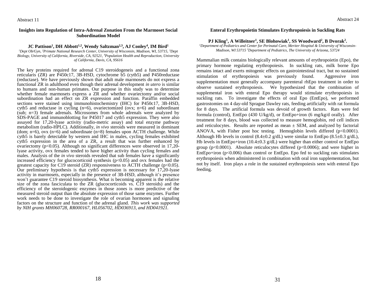#### **Insights into Regulation of Intra-Adrenal Zonation From the Marmoset Social Subordination Model**

#### **JC Pattison<sup>1</sup> , DH Abbott1,2, Wendy Saltzman2,3, AJ Conley<sup>4</sup> , IM Bird<sup>1</sup>**

*<sup>1</sup>Dept Ob/Gyn, <sup>2</sup>Primate National Research Center, University of Wisconsin, Madison, WI, 53715, <sup>3</sup>Dept Biology, University of California, Riverside, CA, 92521, <sup>4</sup>Population Health and Reproduction, University of California, Davis, CA, 95616*

The key proteins required for adrenal C19 steroidogeneis and a functional zona reticularis (ZR) are P450c17, 3B-HSD, cytochrome b5 (cytb5) and P450reductase (reductase). We have previously shown that adult male marmosets do not express a functional ZR in adulthood even though their adrenal development *in utero* is similar to humans and non-human primates. Our purpose in this study was to determine whether female marmosets express a ZR and whether ovariectomy and/or social subordination had an effect on ZR expression and function. Paraffin embedded sections were stained using immunohistochemistry (IHC) for P450c17, 3B-HSD, cytb5 and reductase in cycling  $(n=6)$ , ovariectomized (ovx;  $n=6$ ) and subordinant (sub; n=3) female adrenals. Microsomes from whole adrenals were analyzed by SDS-PAGE and immunoblotting for P45017 and cytb5 expression. They were also assayed for 17,20-lyase activity (radio-metric assay) and total enzyme pathway metabolism (radio-HPLC). Additionally, *in vivo* steroids were measured in dominant (dom;  $n=6$ ), ovx ( $n=6$ ) and subordinate ( $n=8$ ) females upon ACTH challenge. While cytb5 is barely detectable by western and IHC in males, cycling females exhibited cytb5 expression in the area of a ZR, a result that was further enhanced by ovariectomy (p<0.05). Although no significant differences were observed in 17,20 lyase activity, ovx females tended to have higher activity than cycling females and males. Analysis of the *in vivo* steroids revealed that sub females have a significantly increased efficiency for glucocorticoid synthesis ( $p<0.05$ ) and ovx females had the greatest capacity for C19 steroid (ZR) responsiveness to ACTH challenge ( $p<0.05$ ). Our preliminary hypothesis is that cyto  $\frac{1}{2}$  expression is necessary for 17,20-lyase activity in marmosets, especially in the presence of 3B-HSD, although it's presence won't guarantee C19 steroid biosynthesis. What is becoming apparent is the relative size of the zona fasciculata to the ZR (glucocorticoids vs.  $\dot{C}$ 19 steroids) and the efficiency of the steroidogenic enzymes in those zones is more predictive of the measured steroid output than the absolute expression of those same enzymes. Further work needs to be done to investigate the role of ovarian hormones and signaling factors on the structure and function of the adrenal gland. *This work was supported by NIH grants MH060728, RR000167, HL056702, HD036913, and HD041921.*

#### **Enteral Erythropoietin Stimulates Erythropoiesis in Suckling Rats**

#### **PJ Kling<sup>1</sup> , A Willeitner<sup>1</sup> , SE Blohowiak<sup>1</sup> , SS Woodward<sup>2</sup> , B Dvorak<sup>2</sup> .**

*1Department of Pediatrics and Center for Perinatal Care, Meriter Hospital & University of Wisconsin-Madison, WI 53715 <sup>2</sup>Department of Pediatrics, The University of Arizona, 53724*

Mammalian milk contains biologically relevant amounts of erythropoietin (Epo), the primary hormone regulating erythropoiesis. In suckling rats, milk borne Epo remains intact and exerts mitogenic effects on gastrointestinal tract, but no sustained stimulation of erythropoiesis was previously found. Aggressive iron supplementation must generally accompany parenteral rhEpo treatment in order to observe sustained erythropoiesis. We hypothesized that the combination of supplemental iron with enteral Epo therapy would stimulate erythropoiesis in suckling rats. To investigate the effects of oral Epo (EntEpo), we performed gastrostomies on 4 day-old Sprague Dawley rats, feeding artificially with rat formula for 8 days. The artificial formula was devoid of growth factors. Rats were fed formula (control), EntEpo (430 U/kg/d), or EntEpo+iron (6 mg/kg/d orally). After treatment for 8 days, blood was collected to measure hemoglobin, red cell indices and reticulocytes. Results are reported as mean  $\pm$  SEM, and analyzed by factorial ANOVA, with Fisher post hoc testing. Hemoglobin levels differed  $(p<0.0001)$ . Although Hb levels in control (8.4 $\pm$ 0.2 g/dL) were similar to EntEpo (8.5 $\pm$ 0.3 g/dL), Hb levels in EntEpo+iron (10.4 $\pm$ 0.3 g/dL) were higher than either control or EntEpo group ( $p<0.0001$ ). Absolute reticulocytes differed ( $p<0.0006$ ); and were higher in EntEpo+iron ( $p<0.006$ ) than control or EntEpo. Epo fed to suckling rats stimulates erythropoiesis when administered in combination with oral iron supplementation, but not by itself. Iron plays a role in the sustained erythropoiesis seen with enteral Epo feeding.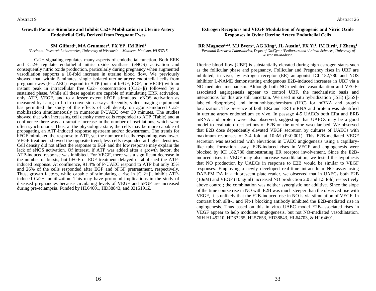Abstract 9

#### **Growth Factors Stimulate and Inhibit Ca2+ Mobilization in Uterine Artery Endothelial Cells Derived from Pregnant Ewes**

#### **SM Gifford<sup>1</sup> , MA Grummer<sup>1</sup> , FX Yi<sup>1</sup> , IM Bird<sup>1</sup>**

*<sup>1</sup>Perinatal Research Laboratories, University of Wisconsin – Madison, Madison, WI 53715*

Ca2+ signaling regulates many aspects of endothelial function. Both ERK and Ca2+ regulate endothelial nitric oxide synthase (eNOS) activation and consequently nitric oxide production, particularly during pregnancy when augmented vasodilation supports a 10-fold increase in uterine blood flow. We previously showed that, within 5 minutes, single isolated uterine artery endothelial cells from pregnant ewes (P-UAEC) respond to ATP (but not bFGF, EGF, or VEGF) with an instant peak in intracellular free  $Ca2+$  concentration ( $[Ca2+]i$ ) followed by a sustained phase. While all these agonist are capable of stimulating ERK activation, only ATP, VEGF, and to a lesser extent bFGF stimulated eNOS activation as measured by L-arg to L-citr conversion assays. Recently, video-imaging equipment has permitted the study of the effects of cell density on agonist-induced Ca2+ mobilization simultaneously in numerous P-UAEC over 30 minutes. The studies showed that with increasing cell density more cells responded to ATP (Table) and at confluence there was a dramatic increase in the number of oscillations, which were often synchronous. Thus, at the physiologic state, the cells may be more capable of propagating an ATP-induced response upstream and/or downstream. The trends for bFGF mimicked the response to ATP, yet the number of cells responding was lower. VEGF treatment showed the opposite trend; less cells responded at higher densities. Cell density did not affect the response to EGF and the low response may explain the lack of eNOS activation. Of interest, if ATP was added after a growth factor, the ATP-induced response was inhibited. For VEGF, there was a significant decrease in the number of bursts, but bFGF or EGF treatment delayed or abolished the ATPinduced response. At confluence, 91.4% of P-UAEC respond to ATP but only 35% and 26% of the cells responded after EGF and bFGF pretreatment, respectively. Thus, growth factors, while capable of stimulating a rise in [Ca2+]i, inhibit ATPinduced Ca2+ mobilization. This may have profound implications in the study of diseased pregnancies because circulating levels of VEGF and bFGF are increased during pre-eclampsia. Funded by HL64601, HD38843, and 0315191Z.

#### **Estrogen Receptors and VEGF Modulation of Angiogenic and Nitric Oxide Responses in Ovine Uterine Artery Endothelial Cells**

#### **RR Magness1,2,3, MJ Byers<sup>1</sup> , AG King<sup>1</sup> , JL Austin<sup>1</sup> , FX Yi<sup>1</sup> , IM Bird<sup>1</sup> , J Zheng<sup>1</sup>** *<sup>1</sup>Perinatal Research Laboratories, Depts of Ob/Gyn ; <sup>2</sup>Pediatrics and <sup>3</sup>Animal Sciences, University of*

*Wisconsin-Madison.*

Uterine blood flow (UBF) is substantially elevated during high estrogen states such as the follicular phase and pregnancy. Follicular and Pregnancy rises in UBF are inhibited, in vivo, by estrogen receptor (ER) antagonist ICI 182,780 and NOS inhibitor L-NAME demonstrating endogenous E2B-induced increases in UBF via a NO mediated mechanism. Although both NO-mediated vasodilatation and VEGFassociated angiogenesis appear to control UBF, the mechanistic basis and interactions for this are still uncertain. We used in situ hybridization (ISH) ([35S] labeled riboprobes) and immunohistochemistry (IHC) for mRNA and protein localization. The presence of both ERa and ERB mRNA and protein was identified in uterine artery endothelium ex vivo. In passage 4-5 UAECs both ERa and ERB mRNA and protein were also observed, suggesting that UAECs may be a good model to evaluate direct actions of E2B on the uterine vascular bed. We observed that E2B dose dependently elevated VEGF secretion by cultures of UAECs with maximum responses of 3-4 fold at 10nM (P<0.001). This E2B-mediated VEGF secretion was associated with elevations in UAEC angiogenesis using a capillarylike tube formation assay. E2B-induced rises in VEGF and angiogenesis were blocked by ICI 182,780 demonstrating ER receptor involvement. Since the E2Binduced rises in VEGF may also increase vasodilatation, we tested the hypothesis that NO production by UAECs in response to E2B would be similar to VEGF responses. Employing a newly developed real-time intracellular NO assay using DAF-FM DA in a fluorescent plate reader, we observed that in UAECs both E2B (10nM) and VEGF (10ng/ml) increased NO production 2.0 and 1.5 fold, respectively above control; the combination was neither synergistic nor additive. Since the slope of the time course rise in NO with E2B was much steeper than the observed rise with VEGF, it is unlikely that the E2B-induced rise in NO is via stimulation of VEGF. In contrast both sFlt-1 and Flt-1 blocking antibody inhibited the E2B-mediated rise in angiogenesis. Thus based on this in vitro UAEC model E2B-associated rises in VEGF appear to help modulate angiogenesis, but not NO-mediated vasodilatation. NIH HL49210, HD33255, HL57653, HD38843, HL64703, & HL64601.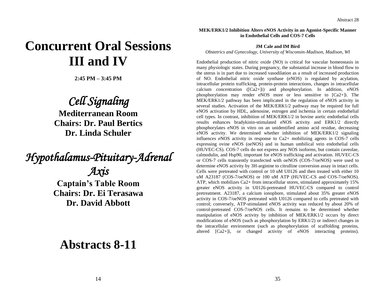## **Concurrent Oral Sessions III and IV**

**2:45 PM – 3:45 PM**

## *Cell Signaling*

**Mediterranean Room Chairs: Dr. Paul Bertics Dr. Linda Schuler**

# *Hypothalamus-Pituitary-Adrenal*

*Axis*  **Captain's Table Room Chairs: Dr. Ei Terasawa Dr. David Abbott**

## **Abstracts 8-11**

**MEK/ERK1/2 Inhibition Alters eNOS Activity in an Agonist-Specific Manner in Endothelial Cells and COS-7 Cells**

#### **JM Cale and IM Bird**

*Obstetrics and Gynecology, University of Wisconsin-Madison, Madison, WI*

Endothelial production of nitric oxide (NO) is critical for vascular homeostasis in many physiologic states. During pregnancy, the substantial increase in blood flow to the uterus is in part due to increased vasodilation as a result of increased production of NO. Endothelial nitric oxide synthase (eNOS) is regulated by acylation, intracellular protein trafficking, protein-protein interactions, changes in intracellular calcium concentration ([Ca2+]i) and phosphorylation. In addition, eNOS phosphorylation may render eNOS more or less sensitive to [Ca2+]i. The MEK/ERK1/2 pathway has been implicated in the regulation of eNOS activity in several studies. Activation of the MEK/ERK1/2 pathway may be required for full eNOS activation by HDL, adenosine, estrogen and ischemia in certain endothelial cell types. In contrast, inhibition of MEK/ERK1/2 in bovine aortic endothelial cells results enhances bradykinin-stimulated eNOS activity and ERK1/2 directly phosphorylates eNOS in vitro on an unidentified amino acid residue, decreasing eNOS activity. We determined whether inhibition of MEK/ERK1/2 signaling influences eNOS activity in response to Ca2+ mobilizing agents in COS-7 cells expressing ovine eNOS (oeNOS) and in human umbilical vein endothelial cells (HUVEC-CS). COS-7 cells do not express any NOS isoforms, but contain caveolae, calmodulin, and Hsp90, important for eNOS trafficking and activation. HUVEC-CS or COS-7 cells transiently transfected with oeNOS (COS-7/oeNOS) were used to determine eNOS activity by 3H-arginine to citrulline conversion assay in intact cells. Cells were pretreated with control or 10 uM U0126 and then treated with either 10 uM A23187 (COS-7/oeNOS) or 100 uM ATP (HUVEC-CS and COS-7/oeNOS). ATP, which mobilizes Ca2+ from intracellular stores, stimulated approximately 15% greater eNOS activity in U0126-pretreated HUVEC-CS compared to control pretreatment. A23187, a calcium ionophore, stimulated about 35% greater eNOS activity in COS-7/oeNOS pretreated with U0126 compared to cells pretreated with control; conversely, ATP-stimulated eNOS activity was reduced by about 20% of control-pretreated COS-7/oeNOS cells. It remains to be determined whether manipulation of eNOS activity by inhibition of MEK/ERK1/2 occurs by direct modifications of eNOS (such as phosphorylation by ERK1/2) or indirect changes in the intracellular environment (such as phosphorylation of scaffolding proteins, altered [Ca2+]i, or changed activity of eNOS interacting proteins).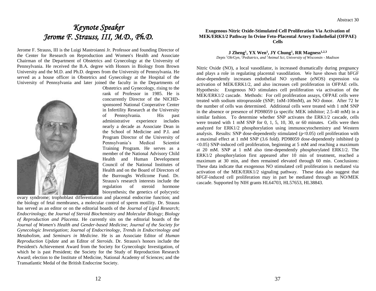### *Keynote Speaker Jerome F. Strauss, III, M.D., Ph.D.*

Jerome F. Strauss, III is the Luigi Mastroianni Jr. Professor and founding Director of the Center for Research on Reproduction and Women's Health and Associate Chairman of the Department of Obstetrics and Gynecology at the University of Pennsylvania. He received the B.A. degree with Honors in Biology from Brown University and the M.D. and Ph.D. degrees from the University of Pennsylvania. He served as a house officer in Obstetrics and Gynecology at the Hospital of the University of Pennsylvania and later joined the faculty in the Departments of



Obstetrics and Gynecology, rising to the rank of Professor in 1985. He is concurrently Director of the NICHDsponsored National Cooperative Center in Infertility Research at the University of Pennsylvania. His past administrative experience includes nearly a decade as Associate Dean in the School of Medicine and P.I. and Program Director of the University of Pennsylvania's Medical Scientist Training Program. He serves as a member of the National Advisory Child Health and Human Development Council of the National Institutes of Health and on the Board of Directors of the Burroughs Wellcome Fund. Dr. Strauss's research interests include the regulation of steroid hormone biosynthesis; the genetics of polycystic

the biology of fetal membranes, a molecular control of sperm motility. Dr. Strauss has served as an editor or on the editorial boards of the *Journal of Lipid Research*; *Endocrinology*; the *Journal of Steroid Biochemistry and Molecular Biology*; *Biology of Reproduction and Placenta*. He currently sits on the editorial boards of the *Journal of Women's Health and Gender-based Medicine*; *Journal of the Society for Gynecologic Investigation*; *Journal of Endocrinology*, *Trends in Endocrinology and Metabolism,* and *Seminars in Medicine*. He is an Associate Editor of *Human Reproduction Update* and an Editor of *Steroids*. Dr. Strauss's honors include the President's Achievement Award from the Society for Gynecologic Investigation, of which he is past President; the Society for the Study of Reproduction Research Award; election to the Institute of Medicine, National Academy of Sciences; and the Transatlantic Medal of the British Endocrine Society.

#### **Exogenous Nitric Oxide-Stimulated Cell Proliferation Via Activation of MEK/ERK1/2 Pathway In Ovine Feto-Placental Artery Endothelial (OFPAE) Cells**

**J Zheng<sup>1</sup> , YX Wen<sup>1</sup> , JY Chung<sup>1</sup> , RR Magness1,2,3** *Depts <sup>1</sup>Ob/Gyn, <sup>2</sup>Pediatrics, and <sup>3</sup>Animal Sci, University of Wisconsin - Madison*

Nitric Oxide (NO), a local vasodilator, is increased dramatically during pregnancy and plays a role in regulating placental vasodilation. We have shown that bFGF dose-dependently increases endothelial NO synthase (eNOS) expression via activation of MEK/ERK1/2, and also increases cell proliferation in OFPAE cells. Hypothesis: Exogenous NO stimulates cell proliferation via activation of the MEK/ERK1/2 cascade. Methods: For cell proliferation assays, OFPAE cells were treated with sodium nitroprusside (SNP; 1nM-100mM), an NO donor. After 72 hr the number of cells was determined. Additional cells were treated with 1 mM SNP in the absence or presence of PD98059 (a specific MEK inhibitor; 2.5-40 mM) in a similar fashion. To determine whether SNP activates the ERK1/2 cascade, cells were treated with 1 mM SNP for 0, 1, 5, 10, 30, or 60 minutes. Cells were then analyzed for ERK1/2 phosphorylation using immunocytochemistry and Western analysis. Results: SNP dose-dependently stimulated  $(p<0.05)$  cell proliferation with a maximal effect at 1 mM SNP (3.6 fold). PD98059 dose-dependently inhibited (p  $\leq$  0.05) SNP-induced cell proliferation, beginning at 5 mM and reaching a maximum at 20 mM. SNP at 1 mM also time-dependently phosphorylated ERK1/2. The ERK1/2 phosphorylation first appeared after 10 min of treatment, reached a maximum at 30 min, and then remained elevated through 60 min. Conclusions: These data indicate that exogenous NO stimulated cell proliferation is mediated via activation of the MEK/ERK1/2 signaling pathway. These data also suggest that bFGF-induced cell proliferation may in part be mediated through an NO/MEK cascade. Supported by NIH grants HL64703, HL57653, HL38843.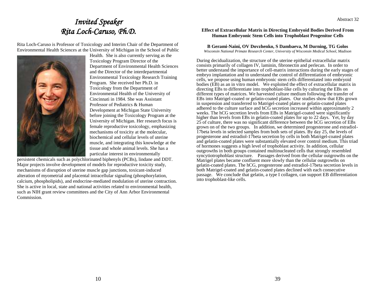### *Invited Speaker Rita Loch-Caruso, Ph.D.*

Rita Loch-Caruso is Professor of Toxicology and Interim Chair of the Department of Environmental Health Sciences at the University of Michigan in the School of Public



Health. She is also currently serving as the Toxicology Program Director of the Department of Environmental Health Sciences and the Director of the interdepartmental Environmental Toxicology Research Training Program. She received her Ph.D. in Toxicology from the Department of Environmental Health of the University of Cincinnati in 1984. She was Assistant Professor of Pediatrics & Human Development at Michigan State University before joining the Toxicology Program at the University of Michigan. Her research focus is female reproductive toxicology, emphasizing mechanisms of toxicity at the molecular, biochemical and cellular levels of uterine muscle, and integrating this knowledge at the tissue and whole animal levels. She has a particular interest in environmentally

persistent chemicals such as polychlorinated biphenyls (PCBs), lindane and DDT. Major projects involve development of models for reproductive toxicity study, mechanisms of disruption of uterine muscle gap junctions, toxicant-induced alteration of myometrial and placental intracellular signaling (phosphorylation, calcium, phospholipids), and endocrine-mediated modulation of uterine contraction. She is active in local, state and national activities related to environmental health, such as NIH grant review committees and the City of Ann Arbor Environmental Commission.

#### **Effect of Extracellular Matrix in Directing Embryoid Bodies Derived From Human Embryonic Stem Cells into Trophoblast Progenitor Cells**

#### **B Gerami-Naini, OV Dovzhenko, S Dambaeva, M Durning, TG Golos**

*Wisconsin National Primate Research Center, University of Wisconsin Medical School, Madison*

During decidualization, the structure of the uterine epithelial extracellular matrix consists primarily of collagen IV, laminin, fibronectin and perlecan. In order to better understand the importance of cell-matrix interactions during the early stages of embryo implantation and to understand the control of differentiation of embryonic cells, we propose using human embryonic stem cells differentiated into embryoid bodies (EB) as an in vitro model. We exploited the effect of extracellular matrix in directing EBs to differentiate into trophoblast-like cells by culturing the EBs on different types of matrices. We harvested culture medium following the transfer of EBs into Matrigel-coated or gelatin-coated plates. Our studies show that EBs grown in suspension and transferred to Matrigel-coated plates or gelatin-coated plates adhered to the culture surface and hCG secretion increased within approximately 2 weeks. The hCG secretion levels from EBs in Matrigel-coated were significantly higher than levels from EBs in gelatin-coated plates for up to 22 days. Yet, by day 25 of culture, there was no significant difference between the hCG secretion of EBs grown on of the two groups. In addition, we determined progesterone and estradiol-17beta levels in selected samples from both sets of plates. By day 25, the levels of progesterone and estradiol-17beta secretion by cells in both Matrigel-coated plates and gelatin-coated plates were substantially elevated over control medium. This triad of hormones suggests a high level of trophoblast activity. In addition, cellular outgrowths in both groups contained multinucleated cells that strongly resembled syncytiotrophoblast structure. Passages derived from the cellular outgrowths on the Matrigel plates became confluent more slowly than the cellular outgrowths on gelatin-coated plates. The hCG, progesterone and estradiol-17beta secretion levels in both Matrigel-coated and gelatin-coated plates declined with each consecutive passage. We conclude that gelatin, a type I collagen, can support EB differentiation into trophoblast-like cells.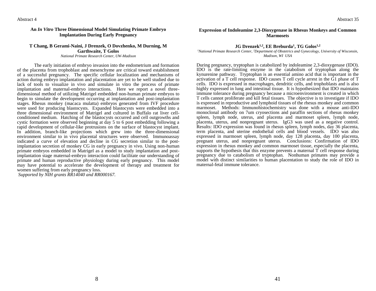#### **An** *In Vitro* **Three Dimensional Model Simulating Primate Embryo Implantation During Early Pregnancy**

#### **T Chang, B Gerami-Naini, J Drenzek, O Dovzhenko, M Durning, M Garthwaite, T Golos**

*National Primate Research Center, UW-Madison*

The early initiation of embryo invasion into the endometrium and formation of the placenta from trophoblast and mesenchyme are critical toward establishment of a successful pregnancy. The specific cellular localization and mechanisms of action during embryo implantation and placentation are yet to be well studied due to lack of tools to visualize in vivo and simulate in vitro the process of primate implantation and maternal-embryo interactions. Here we report a novel threedimensional method of utilizing Matrigel embedded non-human primate embryos to begin to simulate the development occurring at implantation and post-implantation stages. Rhesus monkey (macaca mulatta) embryos generated from IVF procedure were used for producing blastocysts. Expanded blastocysts were embedded into a three dimensional environment of Matrigel and cultured in Buffalo rat liver cellconditioned medium. Hatching of the blastocysts occurred and cell outgrowths and cystic formation were observed beginning at day 5 to 6 post embedding following a rapid development of cellular-like protrusions on the surface of blastocyst implant. In addition, branch-like projections which grew into the three-dimensional environment similar to in vivo placental structures were observed. Immunoassay indicated a curve of elevation and decline in CG secretion similar to the postimplantation secretion of monkey CG in early pregnancy in vivo. Using non-human primate embryos embedded in Matrigel as a model to study implantation and postimplantation stage maternal-embryo interaction could facilitate our understanding of primate and human reproductive physiology during early pregnancy. This model may have potential to accelerate the development of therapy and treatment for women suffering from early pregnancy loss.

*Supported by NIH grants RR14040 and RR000167.*

#### **Expression of Indoleamine 2,3-Dioxygenase in Rhesus Monkeys and Common Marmosets**

#### **JG Drenzek1,2, EE Breburda<sup>1</sup> , TG Golos1,2**

*<sup>1</sup>National Primate Research Center, <sup>2</sup>Department of Obstetrics and Gynecology, University of Wisconsin, Madison, WI USA*

During pregnancy, tryptophan is catabolized by indoleamine 2,3-dioxygenase (IDO). IDO is the rate-limiting enzyme in the catabolism of tryptophan along the kynurenine pathway. Tryptophan is an essential amino acid that is important in the activation of a T cell response. IDO causes T cell cycle arrest in the G1 phase of T cells. IDO is expressed in macrophages, dendritic cells, and trophoblasts and is also highly expressed in lung and intestinal tissue. It is hypothesized that IDO maintains immune tolerance during pregnancy because a microenvironment is created in which T cells cannot proliferate and kill fetal tissues. The objective is to investigate if IDO is expressed in reproductive and lymphoid tissues of the rhesus monkey and common marmoset. Methods: Immunohistochemistry was done with a mouse anti-IDO monoclonal antibody on 7um cryosections and paraffin sections of rhesus monkey spleen, lymph node, uterus, and placenta and marmoset spleen, lymph node, placenta, uterus, and nonpregnant uterus. IgG3 was used as a negative control. Results: IDO expression was found in rhesus spleen, lymph nodes, day 36 placenta, term placenta, and uterine endothelial cells and blood vessels. IDO was also expressed in marmoset spleen, lymph node, day 128 placenta, day 100 placenta, pregnant uterus, and nonpregnant uterus. Conclusions: Confirmation of IDO expression in rhesus monkey and common marmoset tissue, especially the placenta, supports the hypothesis that this enzyme prevents a maternal  $\hat{T}$  cell response during pregnancy due to catabolism of tryptophan. Nonhuman primates may provide a model with distinct similarities to human placentation to study the role of IDO in maternal-fetal immune tolerance.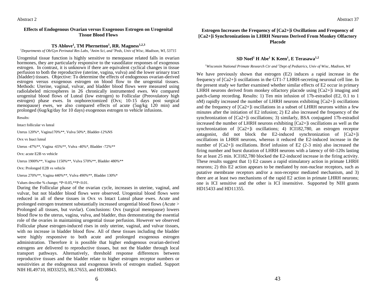#### **Effects of Endogenous Ovarian versus Exogenous Estrogen on Urogenital Tissue Blood Flows**

#### **TS Ablove<sup>1</sup> , TM Phernetton<sup>1</sup> , RR. Magness1,2,3**

*<sup>1</sup>Departments of Ob/Gyn Perinatal Res Labs, <sup>2</sup>Anim Sci, and <sup>3</sup>Peds, Univ of Wisc, Madison, WI, 53715*

Urogenital tissue function is highly sensitive to menopause related falls in ovarian hormones, they are particularly responsive to the vasodilator responses of exogenous estrogen. In contrast, it is unknown if there are equivalent cyclical changes in tissue perfusion to both the reproductive (uterine, vagina, vulva) and the lower urinary tract (bladder) tissues. Objective: To determine the effects of endogenous ovarian-derived estrogen versus exogenous estrogen on blood flow to the urogenital tissues. Methods: Uterine, vaginal, vulvar, and bladder blood flows were measured using radiolabeled microspheres in 26 chronically instrumented ewes. We compared urogenital blood flows of Luteal (low estrogen) to Follicular (Preovulatory high estrogen) phase ewes. In oophorectomized (Ovx; 10-15 days post surgical menopause) ewes, we also compared effects of acute (5ug/kg 120 min) and prolonged (6ug/kg/day for 10 days) exogenous estrogen to vehicle infusions.

Results:

Intact follicular vs luteal

Uterus 120%\*, Vagina170%\*\*, Vulva 50%\*, Bladder-12%NS

Ovx vs Inact luteal

Uterus -47%\*\*, Vagina -65%\*\*, Vulva -40%\*, Bladder -72%\*\*

Ovx: acute E2B vs vehicle

Uterus 1900%\*\*, Vagina 1150%\*\*, Vulva 570%\*\*, Bladder 480%\*\*

Ovx: Prolonged E2B vs vehicle

Uterus 270%\*\*, Vagina 440%\*\*, Vulva 490%\*\*, Bladder 130%\*

Values describe % change; \*P<0.05,\*\*P<0.01.

During the Follicular phase of the ovarian cycle, increases in uterine, vaginal, and vulvar, but not bladder blood flows were observed. Urogenital blood flows were reduced in all of these tissues in Ovx vs Intact Luteal phase ewes. Acute and prolonged estrogen treatment substantially increased urogential blood flows (Acute > Prolonged all tissues, but vuvlar). Conclusions: Ovx (surgical menopause) lowers blood flow to the uterus, vagina, vulva, and bladder, thus demonstrating the essential role of the ovaries in maintaining urogential tissue perfusion. However we observed Follicular phase estrogen-induced rises in only uterine, vaginal, and vulvar tissues, with no increase in bladder blood flow. All of these tissues including the bladder were highly responsive to both acute and prolonged exogenous estrogen administration. Therefore it is possible that higher endogenous ovarian-derived estrogens are delivered to reproductive tissues, but not the bladder through local transport pathways. Alternatively, threshold response differences between reproductive tissues and the bladder relate to higher estrogen receptor numbers or sensitivities at the endogenous and exogenous levels of estrogen studied. Support NIH HL49710, HD33255, HL57653, and HD38843.

#### **Estrogen Increases the Frequency of [Ca2+]i Oscillations and Frequency of [Ca2+]i Synchronizations in LHRH Neurons Derived From Monkey Olfactory Placode**

#### **SD Noel<sup>1</sup> H Abe<sup>1</sup> K Keen<sup>1</sup> , E Terasawa1,2**

#### *<sup>1</sup>Wisconsin National Primate Research Ctr and <sup>2</sup>Dept of Pediatrics, Univ of Wisc, Madison, WI*

We have previously shown that estrogen (E2) induces a rapid increase in the frequency of [Ca2+]i oscillations in the GT1-7 LHRH-secreting neuronal cell line. In the present study we further examined whether similar effects of E2 occur in primary LHRH neurons derived from monkey olfactory placode using  $[Ca2+]$ i imaging and patch-clamp recording. Results: 1) Ten min infusion of 17b-estradiol (E2, 0.1 to 1 nM) rapidly increased the number of LHRH neurons exhibiting [Ca2+]i oscillations and the frequency of [Ca2+]i oscillations in a subset of LHRH neurons within a few minutes after the initiation of E2 infusion; 2) E2 also increased the frequency of the synchronization of [Ca2+]i oscillations; 3) similarly, BSA conjugated 17b-estradiol increased the number of LHRH neurons exhibiting [Ca2+]i oscillations as well as the synchronization of [Ca2+]i oscillations; 4) ICI182,780, an estrogen receptor antagonist, did not block the E2-induced synchronization of [Ca2+]i oscillations in LHRH neurons, whereas it reduced the E2-induced increase in the number of [Ca2+]i oscillations. Brief infusion of E2 (2-3 min) also increased the firing number and burst duration of LHRH neurons with a latency of 60-120s lasting for at least 25 min. ICI182,780 blocked the E2-induced increase in the firing activity. These results suggest that 1) E2 causes a rapid stimulatory action in primate LHRH neurons; 2) this E2 action appears to be mediated by non-nuclear receptors, such as putative membrane receptors and/or a non-receptor mediated mechanism, and 3) there are at least two mechanisms of the rapid E2 action in primate LHRH neurons; one is ICI sensitive and the other is ICI insensitive. Supported by NIH grants HD15433 and HD11355.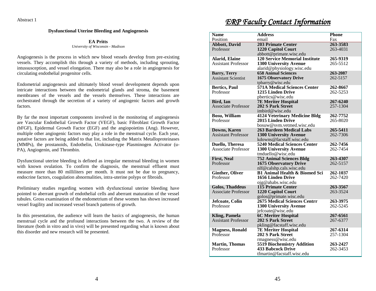#### **Dysfunctional Uterine Bleeding and Angiogenesis**

#### **EA Pritts** *University of Wisconsin - Madison*

Angiogenesis is the process in which new blood vessels develop from pre-existing vessels. They accomplish this through a variety of methods, including sprouting, intussusception, and vessel elongation. There may also be a role in angiogenesis for circulating endothelial progenitor cells.

Endometrial angiogenesis and ultimately blood vessel development depends upon intricate interactions between the endometrial glands and stroma, the basement membranes of the vessels and the vessels themselves. These interactions are orchestrated through the secretion of a variety of angiogenic factors and growth factors.

By far the most important components involved in the monitoring of angiogenesis are Vascular Endothelial Growth Factor (VEGF), basic Fibroblast Growth Factor (bFGF), Epidermal Growth Factor (EGF) and the angiopoietins (Ang). However, multiple other angiogenic factors may play a role in the menstrual cycle. Each year, putative factors are being added to that list, including the Matrix Metalloproteinases (MMPs), the prostanoids, Endothelin, Urokinase-type Plasminogen Activator (u-PA), Angiogenin, and Thrombin.

Dysfunctional uterine bleeding is defined as irregular menstrual bleeding in women with known ovulation. To confirm the diagnosis, the menstrual effluent must measure more than 80 milliliters per month. It must not be due to pregnancy, endocrine factors, coagulation abnormalities, intra-uterine polyps or fibroids.

Preliminary studies regarding women with dysfunctional uterine bleeding have pointed to aberrant growth of endothelial cells and aberrant maturation of the vessel tubules. Gross examination of the endometrium of these women has shown increased vessel fragility and increased vessel branch patterns of growth.

In this presentation, the audience will learn the basics of angiogenesis, the human menstrual cycle and the profound interactions between the two. A review of the literature (both in vitro and in vivo) will be presented regarding what is known about this disorder and new research will be presented.

### *ERP Faculty Contact Information*

| <b>Name</b>                                   | <b>Address</b>                                                  | <b>Phone</b>         |
|-----------------------------------------------|-----------------------------------------------------------------|----------------------|
| Position                                      | email                                                           | Fax                  |
| <b>Abbott, David</b>                          | <b>203 Primate Center</b>                                       | 263-3583             |
| Professor                                     | 1220 Capitol Court                                              | 263-4031             |
|                                               | abbott@primate.wisc.edu                                         |                      |
| <b>Alarid, Elaine</b>                         | <b>120 Service Memorial Institute</b>                           | 265-9319             |
| <b>Assistant Professor</b>                    | <b>1300 University Avenue</b>                                   | 265-5512             |
| <b>Barry, Terry</b>                           | alarid@physiology.wisc.edu<br><b>658 Animal Sciences</b>        | 263-2087             |
| <b>Assistant Scientist</b>                    | <b>1675 Observatory Drive</b>                                   | 262-5157             |
|                                               | tpbarry@wisc.edu                                                |                      |
| <b>Bertics, Paul</b>                          | <b>571A Medical Sciences Center</b>                             | 262-8667             |
| Professor                                     | 1215 Linden Drive                                               | 262-5253             |
|                                               | pbertics@wisc.edu                                               |                      |
| <b>Bird, Ian</b>                              | <b>7E Meriter Hospital</b>                                      | 267-6240             |
| <b>Associate Professor</b>                    | <b>202 S Park Street</b>                                        | 257-1304             |
|                                               | imbird@wise.edu                                                 |                      |
| <b>Bosu, William</b>                          | <b>4124 Veterinary Medicine Bldg</b>                            | 262-7752             |
| Professor                                     | 2015 Linden Drive                                               | 265-8020             |
|                                               | bosuw@svm.vetmed.wisc.edu                                       |                      |
| <b>Downs</b> , Karen                          | <b>263 Bardeen Medical Labs</b>                                 | 265-5411             |
| <b>Assistant Professor</b>                    | <b>1300 University Avenue</b>                                   | 262-7306             |
|                                               | kdowns@facstaff.wisc.edu<br><b>5240 Medical Sciences Center</b> | 262-7456             |
| Duello, Theresa<br><b>Associate Professor</b> | <b>1300 University Avenue</b>                                   | 262-7454             |
|                                               | tmduello@wisc.edu                                               |                      |
| <b>First, Neal</b>                            | <b>752 Animal Sciences Bldg</b>                                 | 263-4307             |
| Professor                                     | <b>1675 Observatory Drive</b>                                   | 262-5157             |
|                                               | nlf@calshp.cals.wisc.edu                                        |                      |
| <b>Ginther, Oliver</b>                        | <b>B1 Animal Health &amp; Biomed Sci</b>                        | 262-1037             |
| Professor                                     | 1656 Linden Drive                                               | 262-7420             |
|                                               | ojg@ahabs.wisc.edu                                              |                      |
| <b>Golos, Thaddeus</b>                        | <b>115 Primate Center</b>                                       | 263-3567             |
| Associate Professor                           | 1220 Capitol Court                                              | 263-3524             |
|                                               | golos@primate.wisc.edu                                          |                      |
| Jefcoate, Colin<br>Professor                  | 2675 Medical Sciences Centrr<br><b>1300 University Avenue</b>   | 263-3975<br>262-5245 |
|                                               | jefcoate@wisc.edu                                               |                      |
| <b>Kling, Pamela</b>                          | <b>6C Meriter Hospital</b>                                      | 267-6561             |
| <b>Assistant Professor</b>                    | <b>202 S Park Street</b>                                        | 267-6377             |
|                                               | pkling@facstaff.wisc.edu                                        |                      |
| <b>Magness, Ronald</b>                        | <b>7E Meriter Hospital</b>                                      | 267-6314             |
| Professor                                     | <b>202 S Park Street</b>                                        | 257-1304             |
|                                               | rmagness@wisc.edu                                               |                      |
| <b>Martin, Thomas</b>                         | 5519 Biochemistry Addition                                      | 263-2427             |
| Professor                                     | 433 Babcock Drive                                               | 262-3453             |
|                                               | tfmartin@facstaff.wisc.edu                                      |                      |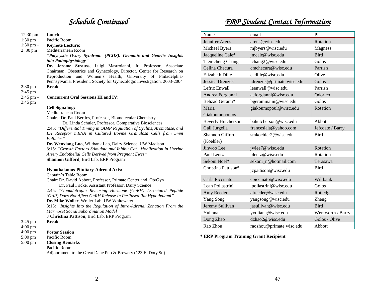### *Schedule Continued*

12:30 pm – **Lunch**

Pacific Room

**Keynote Lecture:** Mediterranean Room

1:30 pm

 $1:30 \text{ pm} 2:30 \text{ pm}$ 

|                          | "Polycystic Ovary Syndrome (PCOS): Genomic and Genetic Insights                                                                                                                                                                                                                             | Jacqueline Cale*                       | jmcale@wisc.edu           | Bird         |
|--------------------------|---------------------------------------------------------------------------------------------------------------------------------------------------------------------------------------------------------------------------------------------------------------------------------------------|----------------------------------------|---------------------------|--------------|
|                          | into Pathophysiology"<br>Dr. Jerome Strauss, Luigi Mastroianni, Jr. Professor, Associate                                                                                                                                                                                                    | Tien-cheng Chang                       | tchang2@wisc.edu          | Golos        |
|                          |                                                                                                                                                                                                                                                                                             | Celina Checura                         | cmchecura@wisc.edu        | Parrish      |
|                          | Chairman, Obstetrics and Gynecology, Director, Center for Research on<br>Reproduction and Women's Health, University of Philadelphia-                                                                                                                                                       | <b>Elizabeth Dille</b>                 | eadille@wisc.edu          | Olive        |
|                          | Pennsylvania, President, Society for Gynecologic Investigation, 2003-2004                                                                                                                                                                                                                   | Jessica Drenzek                        | jdrenzek@primate.wisc.edu | Golos        |
| $2:30$ pm $-$            | <b>Break</b>                                                                                                                                                                                                                                                                                | Lefric Enwall                          | leenwall@wisc.edu         | Parrish      |
| 2:45 pm                  |                                                                                                                                                                                                                                                                                             | Andrea Forgianni                       | aeforgianni@wisc.edu      | Odoric       |
| $2:45$ pm $-$<br>3:45 pm | <b>Concurrent Oral Sessions III and IV:</b>                                                                                                                                                                                                                                                 | Behzad Gerami*                         | bgeraminaini@wisc.edu     | Golos        |
|                          | <b>Cell Signaling:</b>                                                                                                                                                                                                                                                                      | Maria                                  | giakoumopoul@wisc.edu     | Rotatio      |
|                          | Mediterranean Room                                                                                                                                                                                                                                                                          | Giakoumopoulos                         |                           |              |
|                          | Chairs: Dr. Paul Bertics, Professor, Biomolecular Chemistry<br>Dr. Linda Schuler, Professor, Comparative Biosciences                                                                                                                                                                        |                                        |                           |              |
|                          |                                                                                                                                                                                                                                                                                             | <b>Beverly Hutcherson</b>              | bahutcherson@wisc.edu     | Abbott       |
|                          | 2:45: "Differential Timing in cAMP Regulation of Cyclins, Aromatase, and                                                                                                                                                                                                                    | Gail Jurgella                          | franceslala@yahoo.com     | Jefcoat      |
|                          | LH Receptor mRNA in Cultured Bovine Granulosa Cells from 5mm<br>Follicles"                                                                                                                                                                                                                  | Shannon Gifford                        | smkoehler2@wisc.edu       | <b>Bird</b>  |
|                          | Dr. Wenxiang Luo, Wiltbank Lab, Dairy Science, UW Madison<br>3:15: "Growth Factors Stimulate and Inhibit $Ca^{2+}$ Mobilization in Uterine<br>Artery Endothelial Cells Derived from Pregnant Ewes"<br>Shannon Gifford, Bird Lab, ERP Program<br><b>Hypothalamus-Pituitary-Adrenal Axis:</b> | (Koehler)                              |                           |              |
|                          |                                                                                                                                                                                                                                                                                             | Jinwoo Lee                             | jwlee7@wisc.edu           | Rotatio      |
|                          |                                                                                                                                                                                                                                                                                             | Paul Lentz                             | plentz@wisc.edu           | Rotatio      |
|                          |                                                                                                                                                                                                                                                                                             | Sekoni Noel*                           | sekoni_n@hotmail.com      | Terasa       |
|                          |                                                                                                                                                                                                                                                                                             | Christina Pattison*                    | jcpattison@wisc.edu       | Bird         |
|                          | Captain's Table Room                                                                                                                                                                                                                                                                        |                                        |                           |              |
|                          | Chair: Dr. David Abbott, Professor, Primate Center and Ob/Gyn                                                                                                                                                                                                                               | Carla Piccinato                        | cpiccinato@wisc.edu       | Wiltba       |
|                          | Dr. Paul Fricke, Assistant Professor, Dairy Science                                                                                                                                                                                                                                         | Leah Pollastrini                       | lpollastrini@wisc.edu     | Golos        |
|                          | 2:45: "Gonadotropin Releasing Hormone (GnRH) Associated Peptide<br>(GAP) Does Not Affect GnRH Release In Perifused Rat Hypothalami"                                                                                                                                                         | Amy Reeder                             | alreeder@wisc.edu         | Rutled       |
|                          | Dr. Mike Woller, Woller Lab, UW Whitewater                                                                                                                                                                                                                                                  | Yang Song                              | yangsong@wisc.edu         | <b>Zheng</b> |
|                          | 3:15: "Insights Into the Regulation of Intra-Adrenal Zonation From the                                                                                                                                                                                                                      | Jeremy Sullivan                        | jasullivan@wisc.edu       | <b>Bird</b>  |
|                          | Marmoset Social Subordination Model"                                                                                                                                                                                                                                                        | Yuliana                                | yyuliana@wisc.edu         | Wentw        |
|                          | J Christina Pattison, Bird Lab, ERP Program                                                                                                                                                                                                                                                 | Dong Zhao                              | dzhao2@wisc.edu           | Golos        |
| $3:45$ pm $-$<br>4:00 pm | <b>Break</b>                                                                                                                                                                                                                                                                                | Rao Zhou                               | raozhou@primate.wisc.edu  | Abbott       |
| $4:00 \text{ pm} -$      | <b>Poster Session</b>                                                                                                                                                                                                                                                                       |                                        |                           |              |
| 5:00 pm                  | Pacific Room                                                                                                                                                                                                                                                                                | * ERP Program Training Grant Recipient |                           |              |
| 5:00 pm                  | <b>Closing Remarks</b>                                                                                                                                                                                                                                                                      |                                        |                           |              |
|                          | Pacific Room                                                                                                                                                                                                                                                                                |                                        |                           |              |
|                          | Adjournment to the Great Dane Pub & Brewery (123 E. Doty St.)                                                                                                                                                                                                                               |                                        |                           |              |
|                          |                                                                                                                                                                                                                                                                                             |                                        |                           |              |

### *ERP Student Contact Information*

[Parrish](http://www.erp.wisc.edu/faculty/wiltbank/index.html)

[Parrish](http://www.erp.wisc.edu/faculty/peterson/index.html) [Odorico](http://www.erp.wisc.edu/faculty/odorico/index.html)

Rotation

Rotation **Rotation** [Terasawa](http://www.erp.wisc.edu/faculty/terasawa/index.html)

[Wiltbank](http://www.erp.wisc.edu/faculty/wiltbank/index.html)

[Rutledge](http://www.erp.wisc.edu/faculty/rutledge/index.html) [Zheng](http://www.erp.wisc.edu/faculty/zheng/index.html)

[Wentworth](http://www.erp.wisc.edu/faculty/wiltbank/index.html) / Barry Golos / Olive [Abbott](http://www.erp.wisc.edu/faculty/abbott/index.htm)

Jefcoate / Barry

Name email PI [Jennifer](http://www.erp.wisc.edu/students/baker.htm) Arens arens@wisc.edu [Rotation](http://www.erp.wisc.edu/faculty/watters/index.html) [Michael Byers](http://www.erp.wisc.edu/students/byers.htm) [mjbyers@wisc.edu](mailto:mjbyers@wisc.edu) [Magness](http://www.erp.wisc.edu/faculty/magness/index.html)